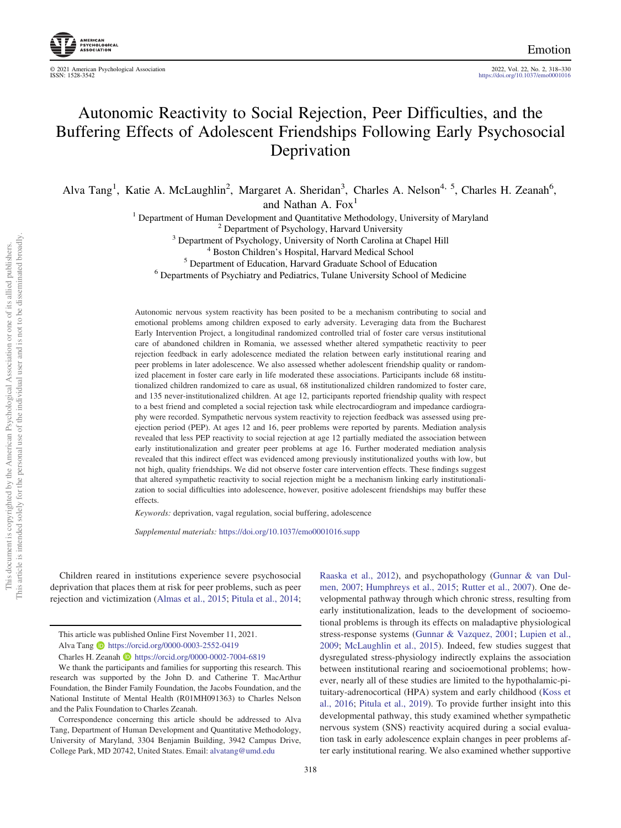2022, Vol. 22, No. 2, 318-330<br><https://doi.org/10.1037/emo0001016>

# Autonomic Reactivity to Social Rejection, Peer Difficulties, and the Buffering Effects of Adolescent Friendships Following Early Psychosocial Deprivation

Alva Tang<sup>1</sup>, Katie A. McLaughlin<sup>2</sup>, Margaret A. Sheridan<sup>3</sup>, Charles A. Nelson<sup>4, 5</sup>, Charles H. Zeanah<sup>6</sup>,

and Nathan A. Fox<sup>1</sup>

<sup>1</sup> Department of Human Development and Quantitative Methodology, University of Maryland<sup>2</sup> Department of Psychology, Harvard University<br><sup>3</sup> Department of Psychology, University of North Carolina at Chapel Hill<sup>4</sup> Boston

Autonomic nervous system reactivity has been posited to be a mechanism contributing to social and emotional problems among children exposed to early adversity. Leveraging data from the Bucharest Early Intervention Project, a longitudinal randomized controlled trial of foster care versus institutional care of abandoned children in Romania, we assessed whether altered sympathetic reactivity to peer rejection feedback in early adolescence mediated the relation between early institutional rearing and peer problems in later adolescence. We also assessed whether adolescent friendship quality or randomized placement in foster care early in life moderated these associations. Participants include 68 institutionalized children randomized to care as usual, 68 institutionalized children randomized to foster care, and 135 never-institutionalized children. At age 12, participants reported friendship quality with respect to a best friend and completed a social rejection task while electrocardiogram and impedance cardiography were recorded. Sympathetic nervous system reactivity to rejection feedback was assessed using preejection period (PEP). At ages 12 and 16, peer problems were reported by parents. Mediation analysis revealed that less PEP reactivity to social rejection at age 12 partially mediated the association between early institutionalization and greater peer problems at age 16. Further moderated mediation analysis revealed that this indirect effect was evidenced among previously institutionalized youths with low, but not high, quality friendships. We did not observe foster care intervention effects. These findings suggest that altered sympathetic reactivity to social rejection might be a mechanism linking early institutionalization to social difficulties into adolescence, however, positive adolescent friendships may buffer these effects.

Keywords: deprivation, vagal regulation, social buffering, adolescence

Supplemental materials: <https://doi.org/10.1037/emo0001016.supp>

Children reared in institutions experience severe psychosocial deprivation that places them at risk for peer problems, such as peer rejection and victimization [\(Almas et al., 2015;](#page-9-0) [Pitula et al., 2014;](#page-11-0)

[Raaska et al., 2012](#page-11-1)), and psychopathology ([Gunnar & van Dul](#page-10-0)[men, 2007;](#page-10-0) [Humphreys et al., 2015](#page-10-1); [Rutter et al., 2007](#page-11-2)). One developmental pathway through which chronic stress, resulting from early institutionalization, leads to the development of socioemotional problems is through its effects on maladaptive physiological stress-response systems [\(Gunnar & Vazquez, 2001;](#page-10-2) [Lupien et al.,](#page-10-3) [2009](#page-10-3); [McLaughlin et al., 2015](#page-11-3)). Indeed, few studies suggest that dysregulated stress-physiology indirectly explains the association between institutional rearing and socioemotional problems; however, nearly all of these studies are limited to the hypothalamic-pituitary-adrenocortical (HPA) system and early childhood ([Koss et](#page-10-4) [al., 2016](#page-10-4); [Pitula et al., 2019](#page-11-4)). To provide further insight into this developmental pathway, this study examined whether sympathetic nervous system (SNS) reactivity acquired during a social evaluation task in early adolescence explain changes in peer problems after early institutional rearing. We also examined whether supportive

This article was published Online First November 11, 2021.

Alva Tang **b** <https://orcid.org/0000-0003-2552-0419>

Charles H. Zeanah **b** <https://orcid.org/0000-0002-7004-6819>

We thank the participants and families for supporting this research. This research was supported by the John D. and Catherine T. MacArthur Foundation, the Binder Family Foundation, the Jacobs Foundation, and the National Institute of Mental Health (R01MH091363) to Charles Nelson and the Palix Foundation to Charles Zeanah.

Correspondence concerning this article should be addressed to Alva Tang, Department of Human Development and Quantitative Methodology, University of Maryland, 3304 Benjamin Building, 3942 Campus Drive, College Park, MD 20742, United States. Email: [alvatang@umd.edu](mailto:alvatang@umd.edu)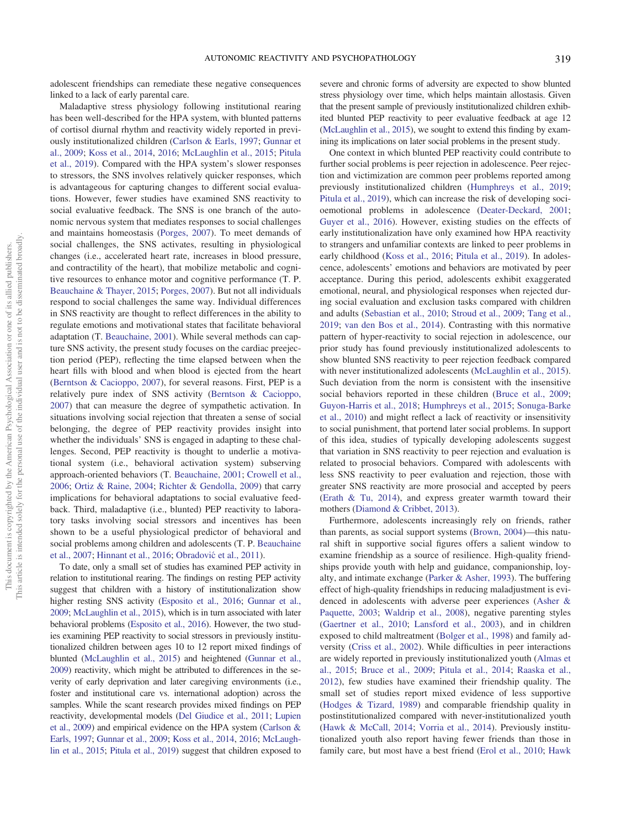adolescent friendships can remediate these negative consequences linked to a lack of early parental care.

Maladaptive stress physiology following institutional rearing has been well-described for the HPA system, with blunted patterns of cortisol diurnal rhythm and reactivity widely reported in previously institutionalized children [\(Carlson & Earls, 1997;](#page-9-1) [Gunnar et](#page-10-5) [al., 2009;](#page-10-5) [Koss et al., 2014](#page-10-6), [2016](#page-10-4); [McLaughlin et al., 2015;](#page-11-3) [Pitula](#page-11-4) [et al., 2019](#page-11-4)). Compared with the HPA system's slower responses to stressors, the SNS involves relatively quicker responses, which is advantageous for capturing changes to different social evaluations. However, fewer studies have examined SNS reactivity to social evaluative feedback. The SNS is one branch of the autonomic nervous system that mediates responses to social challenges and maintains homeostasis [\(Porges, 2007\)](#page-11-5). To meet demands of social challenges, the SNS activates, resulting in physiological changes (i.e., accelerated heart rate, increases in blood pressure, and contractility of the heart), that mobilize metabolic and cognitive resources to enhance motor and cognitive performance (T. P. [Beauchaine & Thayer, 2015](#page-9-2); [Porges, 2007\)](#page-11-5). But not all individuals respond to social challenges the same way. Individual differences in SNS reactivity are thought to reflect differences in the ability to regulate emotions and motivational states that facilitate behavioral adaptation (T. [Beauchaine, 2001](#page-9-3)). While several methods can capture SNS activity, the present study focuses on the cardiac preejection period (PEP), reflecting the time elapsed between when the heart fills with blood and when blood is ejected from the heart [\(Berntson & Cacioppo, 2007\)](#page-9-4), for several reasons. First, PEP is a relatively pure index of SNS activity ([Berntson & Cacioppo,](#page-9-4) [2007](#page-9-4)) that can measure the degree of sympathetic activation. In situations involving social rejection that threaten a sense of social belonging, the degree of PEP reactivity provides insight into whether the individuals' SNS is engaged in adapting to these challenges. Second, PEP reactivity is thought to underlie a motivational system (i.e., behavioral activation system) subserving approach-oriented behaviors (T. [Beauchaine, 2001](#page-9-3); [Crowell et al.,](#page-9-5) [2006](#page-9-5); [Ortiz & Raine, 2004;](#page-11-6) [Richter & Gendolla, 2009](#page-11-7)) that carry implications for behavioral adaptations to social evaluative feedback. Third, maladaptive (i.e., blunted) PEP reactivity to laboratory tasks involving social stressors and incentives has been shown to be a useful physiological predictor of behavioral and social problems among children and adolescents (T. P. [Beauchaine](#page-9-6) [et al., 2007;](#page-9-6) [Hinnant et al., 2016;](#page-10-7) Obradovi[c et al., 2011](#page-11-8)).

To date, only a small set of studies has examined PEP activity in relation to institutional rearing. The findings on resting PEP activity suggest that children with a history of institutionalization show higher resting SNS activity [\(Esposito et al., 2016;](#page-9-7) [Gunnar et al.,](#page-10-5) [2009](#page-10-5); [McLaughlin et al., 2015\)](#page-11-3), which is in turn associated with later behavioral problems [\(Esposito et al., 2016](#page-9-7)). However, the two studies examining PEP reactivity to social stressors in previously institutionalized children between ages 10 to 12 report mixed findings of blunted ([McLaughlin et al., 2015](#page-11-3)) and heightened [\(Gunnar et al.,](#page-10-5) [2009](#page-10-5)) reactivity, which might be attributed to differences in the severity of early deprivation and later caregiving environments (i.e., foster and institutional care vs. international adoption) across the samples. While the scant research provides mixed findings on PEP reactivity, developmental models [\(Del Giudice et al., 2011;](#page-9-8) [Lupien](#page-10-3) [et al., 2009](#page-10-3)) and empirical evidence on the HPA system [\(Carlson &](#page-9-1) [Earls, 1997;](#page-9-1) [Gunnar et al., 2009](#page-10-5); [Koss et al., 2014](#page-10-6), [2016](#page-10-4); [McLaugh](#page-11-3)[lin et al., 2015;](#page-11-3) [Pitula et al., 2019](#page-11-4)) suggest that children exposed to

severe and chronic forms of adversity are expected to show blunted stress physiology over time, which helps maintain allostasis. Given that the present sample of previously institutionalized children exhibited blunted PEP reactivity to peer evaluative feedback at age 12 ([McLaughlin et al., 2015\)](#page-11-3), we sought to extend this finding by examining its implications on later social problems in the present study.

One context in which blunted PEP reactivity could contribute to further social problems is peer rejection in adolescence. Peer rejection and victimization are common peer problems reported among previously institutionalized children [\(Humphreys et al., 2019;](#page-10-8) [Pitula et al., 2019](#page-11-4)), which can increase the risk of developing socioemotional problems in adolescence [\(Deater-Deckard, 2001](#page-9-9); [Guyer et al., 2016](#page-10-9)). However, existing studies on the effects of early institutionalization have only examined how HPA reactivity to strangers and unfamiliar contexts are linked to peer problems in early childhood ([Koss et al., 2016;](#page-10-4) [Pitula et al., 2019\)](#page-11-4). In adolescence, adolescents' emotions and behaviors are motivated by peer acceptance. During this period, adolescents exhibit exaggerated emotional, neural, and physiological responses when rejected during social evaluation and exclusion tasks compared with children and adults ([Sebastian et al., 2010;](#page-11-9) [Stroud et al., 2009](#page-11-10); [Tang et al.,](#page-11-11) [2019;](#page-11-11) [van den Bos et al., 2014\)](#page-11-12). Contrasting with this normative pattern of hyper-reactivity to social rejection in adolescence, our prior study has found previously institutionalized adolescents to show blunted SNS reactivity to peer rejection feedback compared with never institutionalized adolescents ([McLaughlin et al., 2015\)](#page-11-3). Such deviation from the norm is consistent with the insensitive social behaviors reported in these children [\(Bruce et al., 2009;](#page-9-10) [Guyon-Harris et al., 2018](#page-10-10); [Humphreys et al., 2015;](#page-10-1) [Sonuga-Barke](#page-11-13) [et al., 2010\)](#page-11-13) and might reflect a lack of reactivity or insensitivity to social punishment, that portend later social problems. In support of this idea, studies of typically developing adolescents suggest that variation in SNS reactivity to peer rejection and evaluation is related to prosocial behaviors. Compared with adolescents with less SNS reactivity to peer evaluation and rejection, those with greater SNS reactivity are more prosocial and accepted by peers ([Erath & Tu, 2014\)](#page-9-11), and express greater warmth toward their mothers [\(Diamond & Cribbet, 2013](#page-9-12)).

Furthermore, adolescents increasingly rely on friends, rather than parents, as social support systems ([Brown, 2004\)](#page-9-13)—this natural shift in supportive social figures offers a salient window to examine friendship as a source of resilience. High-quality friendships provide youth with help and guidance, companionship, loyalty, and intimate exchange ([Parker & Asher, 1993\)](#page-11-14). The buffering effect of high-quality friendships in reducing maladjustment is evidenced in adolescents with adverse peer experiences [\(Asher &](#page-9-14) [Paquette, 2003](#page-9-14); [Waldrip et al., 2008](#page-12-0)), negative parenting styles ([Gaertner et al., 2010](#page-9-15); [Lansford et al., 2003\)](#page-10-11), and in children exposed to child maltreatment [\(Bolger et al., 1998\)](#page-9-16) and family adversity ([Criss et al., 2002](#page-9-17)). While difficulties in peer interactions are widely reported in previously institutionalized youth ([Almas et](#page-9-0) [al., 2015;](#page-9-0) [Bruce et al., 2009;](#page-9-10) [Pitula et al., 2014](#page-11-0); [Raaska et al.,](#page-11-1) [2012\)](#page-11-1), few studies have examined their friendship quality. The small set of studies report mixed evidence of less supportive ([Hodges & Tizard, 1989](#page-10-12)) and comparable friendship quality in postinstitutionalized compared with never-institutionalized youth ([Hawk & McCall, 2014;](#page-10-13) [Vorria et al., 2014](#page-11-15)). Previously institutionalized youth also report having fewer friends than those in family care, but most have a best friend [\(Erol et al., 2010](#page-9-18); [Hawk](#page-10-13)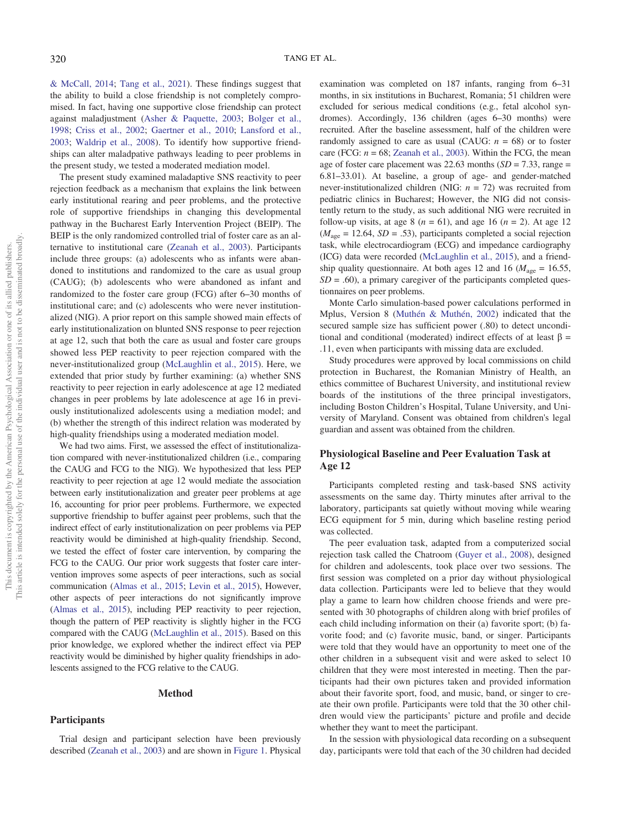[& McCall, 2014;](#page-10-13) [Tang et al., 2021\)](#page-11-16). These findings suggest that the ability to build a close friendship is not completely compromised. In fact, having one supportive close friendship can protect against maladjustment ([Asher & Paquette, 2003;](#page-9-14) [Bolger et al.,](#page-9-16) [1998](#page-9-16); [Criss et al., 2002](#page-9-17); [Gaertner et al., 2010;](#page-9-15) [Lansford et al.,](#page-10-11) [2003](#page-10-11); [Waldrip et al., 2008](#page-12-0)). To identify how supportive friendships can alter maladpative pathways leading to peer problems in the present study, we tested a moderated mediation model.

The present study examined maladaptive SNS reactivity to peer rejection feedback as a mechanism that explains the link between early institutional rearing and peer problems, and the protective role of supportive friendships in changing this developmental pathway in the Bucharest Early Intervention Project (BEIP). The BEIP is the only randomized controlled trial of foster care as an alternative to institutional care ([Zeanah et al., 2003\)](#page-12-1). Participants include three groups: (a) adolescents who as infants were abandoned to institutions and randomized to the care as usual group (CAUG); (b) adolescents who were abandoned as infant and randomized to the foster care group (FCG) after 6–30 months of institutional care; and (c) adolescents who were never institutionalized (NIG). A prior report on this sample showed main effects of early institutionalization on blunted SNS response to peer rejection at age 12, such that both the care as usual and foster care groups showed less PEP reactivity to peer rejection compared with the never-institutionalized group [\(McLaughlin et al., 2015\)](#page-11-3). Here, we extended that prior study by further examining: (a) whether SNS reactivity to peer rejection in early adolescence at age 12 mediated changes in peer problems by late adolescence at age 16 in previously institutionalized adolescents using a mediation model; and (b) whether the strength of this indirect relation was moderated by high-quality friendships using a moderated mediation model.

We had two aims. First, we assessed the effect of institutionalization compared with never-institutionalized children (i.e., comparing the CAUG and FCG to the NIG). We hypothesized that less PEP reactivity to peer rejection at age 12 would mediate the association between early institutionalization and greater peer problems at age 16, accounting for prior peer problems. Furthermore, we expected supportive friendship to buffer against peer problems, such that the indirect effect of early institutionalization on peer problems via PEP reactivity would be diminished at high-quality friendship. Second, we tested the effect of foster care intervention, by comparing the FCG to the CAUG. Our prior work suggests that foster care intervention improves some aspects of peer interactions, such as social communication [\(Almas et al., 2015](#page-9-0); [Levin et al., 2015](#page-10-14)), However, other aspects of peer interactions do not significantly improve [\(Almas et al., 2015](#page-9-0)), including PEP reactivity to peer rejection, though the pattern of PEP reactivity is slightly higher in the FCG compared with the CAUG [\(McLaughlin et al., 2015](#page-11-3)). Based on this prior knowledge, we explored whether the indirect effect via PEP reactivity would be diminished by higher quality friendships in adolescents assigned to the FCG relative to the CAUG.

#### Method

## Participants

Trial design and participant selection have been previously described [\(Zeanah et al., 2003](#page-12-1)) and are shown in [Figure 1.](#page-3-0) Physical examination was completed on 187 infants, ranging from 6–31 months, in six institutions in Bucharest, Romania; 51 children were excluded for serious medical conditions (e.g., fetal alcohol syndromes). Accordingly, 136 children (ages 6–30 months) were recruited. After the baseline assessment, half of the children were randomly assigned to care as usual (CAUG:  $n = 68$ ) or to foster care (FCG:  $n = 68$ ; [Zeanah et al., 2003](#page-12-1)). Within the FCG, the mean age of foster care placement was 22.63 months  $(SD = 7.33$ , range = 6.81–33.01). At baseline, a group of age- and gender-matched never-institutionalized children (NIG:  $n = 72$ ) was recruited from pediatric clinics in Bucharest; However, the NIG did not consistently return to the study, as such additional NIG were recruited in follow-up visits, at age 8 ( $n = 61$ ), and age 16 ( $n = 2$ ). At age 12  $(M<sub>age</sub> = 12.64, SD = .53)$ , participants completed a social rejection task, while electrocardiogram (ECG) and impedance cardiography (ICG) data were recorded [\(McLaughlin et al., 2015](#page-11-3)), and a friendship quality questionnaire. At both ages 12 and 16 ( $M_{\text{age}} = 16.55$ ,  $SD = .60$ ), a primary caregiver of the participants completed questionnaires on peer problems.

Monte Carlo simulation-based power calculations performed in Mplus, Version 8 ([Muthén & Muthén, 2002\)](#page-11-17) indicated that the secured sample size has sufficient power (.80) to detect unconditional and conditional (moderated) indirect effects of at least  $\beta$  = .11, even when participants with missing data are excluded.

Study procedures were approved by local commissions on child protection in Bucharest, the Romanian Ministry of Health, an ethics committee of Bucharest University, and institutional review boards of the institutions of the three principal investigators, including Boston Children's Hospital, Tulane University, and University of Maryland. Consent was obtained from children's legal guardian and assent was obtained from the children.

# Physiological Baseline and Peer Evaluation Task at Age 12

Participants completed resting and task-based SNS activity assessments on the same day. Thirty minutes after arrival to the laboratory, participants sat quietly without moving while wearing ECG equipment for 5 min, during which baseline resting period was collected.

The peer evaluation task, adapted from a computerized social rejection task called the Chatroom ([Guyer et al., 2008\)](#page-10-15), designed for children and adolescents, took place over two sessions. The first session was completed on a prior day without physiological data collection. Participants were led to believe that they would play a game to learn how children choose friends and were presented with 30 photographs of children along with brief profiles of each child including information on their (a) favorite sport; (b) favorite food; and (c) favorite music, band, or singer. Participants were told that they would have an opportunity to meet one of the other children in a subsequent visit and were asked to select 10 children that they were most interested in meeting. Then the participants had their own pictures taken and provided information about their favorite sport, food, and music, band, or singer to create their own profile. Participants were told that the 30 other children would view the participants' picture and profile and decide whether they want to meet the participant.

In the session with physiological data recording on a subsequent day, participants were told that each of the 30 children had decided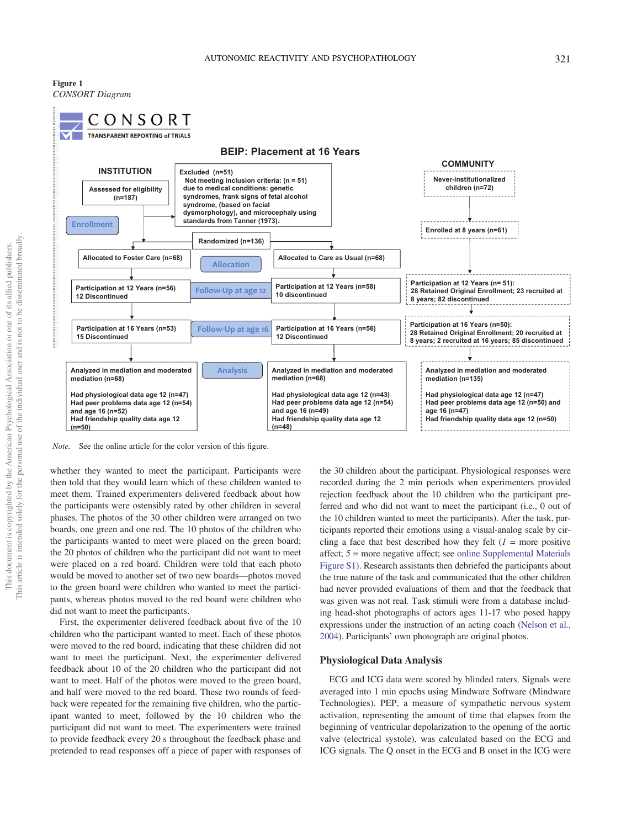<span id="page-3-0"></span>Figure 1 CONSORT Diagram



Note. See the online article for the color version of this figure.

whether they wanted to meet the participant. Participants were then told that they would learn which of these children wanted to meet them. Trained experimenters delivered feedback about how the participants were ostensibly rated by other children in several phases. The photos of the 30 other children were arranged on two boards, one green and one red. The 10 photos of the children who the participants wanted to meet were placed on the green board; the 20 photos of children who the participant did not want to meet were placed on a red board. Children were told that each photo would be moved to another set of two new boards—photos moved to the green board were children who wanted to meet the participants, whereas photos moved to the red board were children who did not want to meet the participants.

First, the experimenter delivered feedback about five of the 10 children who the participant wanted to meet. Each of these photos were moved to the red board, indicating that these children did not want to meet the participant. Next, the experimenter delivered feedback about 10 of the 20 children who the participant did not want to meet. Half of the photos were moved to the green board, and half were moved to the red board. These two rounds of feedback were repeated for the remaining five children, who the participant wanted to meet, followed by the 10 children who the participant did not want to meet. The experimenters were trained to provide feedback every 20 s throughout the feedback phase and pretended to read responses off a piece of paper with responses of

the 30 children about the participant. Physiological responses were recorded during the 2 min periods when experimenters provided rejection feedback about the 10 children who the participant preferred and who did not want to meet the participant (i.e., 0 out of the 10 children wanted to meet the participants). After the task, participants reported their emotions using a visual-analog scale by circling a face that best described how they felt  $(l = more positive$ affect; 5 = more negative affect; see [online Supplemental Materials](https://doi.org/10.1037/emo0001016.supp) [Figure S1\)](https://doi.org/10.1037/emo0001016.supp). Research assistants then debriefed the participants about the true nature of the task and communicated that the other children had never provided evaluations of them and that the feedback that was given was not real. Task stimuli were from a database including head-shot photographs of actors ages 11-17 who posed happy expressions under the instruction of an acting coach [\(Nelson et al.,](#page-11-18) [2004\)](#page-11-18). Participants' own photograph are original photos.

#### Physiological Data Analysis

ECG and ICG data were scored by blinded raters. Signals were averaged into 1 min epochs using Mindware Software (Mindware Technologies). PEP, a measure of sympathetic nervous system activation, representing the amount of time that elapses from the beginning of ventricular depolarization to the opening of the aortic valve (electrical systole), was calculated based on the ECG and ICG signals. The Q onset in the ECG and B onset in the ICG were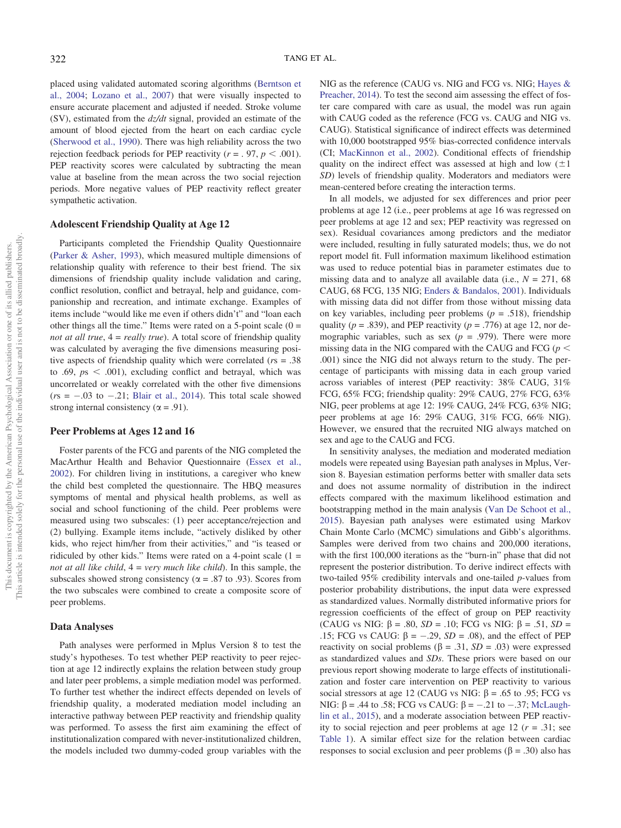placed using validated automated scoring algorithms [\(Berntson et](#page-9-19) [al., 2004](#page-9-19); [Lozano et al., 2007](#page-10-16)) that were visually inspected to ensure accurate placement and adjusted if needed. Stroke volume (SV), estimated from the  $dz/dt$  signal, provided an estimate of the amount of blood ejected from the heart on each cardiac cycle [\(Sherwood et al., 1990](#page-11-19)). There was high reliability across the two rejection feedback periods for PEP reactivity ( $r = .97$ ,  $p < .001$ ). PEP reactivity scores were calculated by subtracting the mean value at baseline from the mean across the two social rejection periods. More negative values of PEP reactivity reflect greater sympathetic activation.

# Adolescent Friendship Quality at Age 12

Participants completed the Friendship Quality Questionnaire [\(Parker & Asher, 1993](#page-11-14)), which measured multiple dimensions of relationship quality with reference to their best friend. The six dimensions of friendship quality include validation and caring, conflict resolution, conflict and betrayal, help and guidance, companionship and recreation, and intimate exchange. Examples of items include "would like me even if others didn't" and "loan each other things all the time." Items were rated on a 5-point scale  $(0 =$ not at all true,  $4 = really$  true). A total score of friendship quality was calculated by averaging the five dimensions measuring positive aspects of friendship quality which were correlated ( $rs = .38$ ) to .69,  $ps < .001$ ), excluding conflict and betrayal, which was uncorrelated or weakly correlated with the other five dimensions  $(rs = -.03$  to  $-.21$ ; [Blair et al., 2014](#page-9-20)). This total scale showed strong internal consistency ( $\alpha$  = .91).

## Peer Problems at Ages 12 and 16

Foster parents of the FCG and parents of the NIG completed the MacArthur Health and Behavior Questionnaire ([Essex et al.,](#page-9-21) [2002](#page-9-21)). For children living in institutions, a caregiver who knew the child best completed the questionnaire. The HBQ measures symptoms of mental and physical health problems, as well as social and school functioning of the child. Peer problems were measured using two subscales: (1) peer acceptance/rejection and (2) bullying. Example items include, "actively disliked by other kids, who reject him/her from their activities," and "is teased or ridiculed by other kids." Items were rated on a 4-point scale  $(1 =$ not at all like child,  $4 = \text{very much like child}$ . In this sample, the subscales showed strong consistency ( $\alpha$  = .87 to .93). Scores from the two subscales were combined to create a composite score of peer problems.

## Data Analyses

Path analyses were performed in Mplus Version 8 to test the study's hypotheses. To test whether PEP reactivity to peer rejection at age 12 indirectly explains the relation between study group and later peer problems, a simple mediation model was performed. To further test whether the indirect effects depended on levels of friendship quality, a moderated mediation model including an interactive pathway between PEP reactivity and friendship quality was performed. To assess the first aim examining the effect of institutionalization compared with never-institutionalized children, the models included two dummy-coded group variables with the NIG as the reference (CAUG vs. NIG and FCG vs. NIG; [Hayes &](#page-10-17) [Preacher, 2014\)](#page-10-17). To test the second aim assessing the effect of foster care compared with care as usual, the model was run again with CAUG coded as the reference (FCG vs. CAUG and NIG vs. CAUG). Statistical significance of indirect effects was determined with 10,000 bootstrapped 95% bias-corrected confidence intervals (CI; [MacKinnon et al., 2002\)](#page-10-18). Conditional effects of friendship quality on the indirect effect was assessed at high and low  $(\pm 1)$ SD) levels of friendship quality. Moderators and mediators were mean-centered before creating the interaction terms.

In all models, we adjusted for sex differences and prior peer problems at age 12 (i.e., peer problems at age 16 was regressed on peer problems at age 12 and sex; PEP reactivity was regressed on sex). Residual covariances among predictors and the mediator were included, resulting in fully saturated models; thus, we do not report model fit. Full information maximum likelihood estimation was used to reduce potential bias in parameter estimates due to missing data and to analyze all available data (i.e.,  $N = 271, 68$ ) CAUG, 68 FCG, 135 NIG; [Enders & Bandalos, 2001](#page-9-22)). Individuals with missing data did not differ from those without missing data on key variables, including peer problems ( $p = .518$ ), friendship quality ( $p = .839$ ), and PEP reactivity ( $p = .776$ ) at age 12, nor demographic variables, such as sex ( $p = .979$ ). There were more missing data in the NIG compared with the CAUG and FCG ( $p$  < .001) since the NIG did not always return to the study. The percentage of participants with missing data in each group varied across variables of interest (PEP reactivity: 38% CAUG, 31% FCG, 65% FCG; friendship quality: 29% CAUG, 27% FCG, 63% NIG, peer problems at age 12: 19% CAUG, 24% FCG, 63% NIG; peer problems at age 16: 29% CAUG, 31% FCG, 66% NIG). However, we ensured that the recruited NIG always matched on sex and age to the CAUG and FCG.

In sensitivity analyses, the mediation and moderated mediation models were repeated using Bayesian path analyses in Mplus, Version 8. Bayesian estimation performs better with smaller data sets and does not assume normality of distribution in the indirect effects compared with the maximum likelihood estimation and bootstrapping method in the main analysis ([Van De Schoot et al.,](#page-11-20) [2015](#page-11-20)). Bayesian path analyses were estimated using Markov Chain Monte Carlo (MCMC) simulations and Gibb's algorithms. Samples were derived from two chains and 200,000 iterations, with the first 100,000 iterations as the "burn-in" phase that did not represent the posterior distribution. To derive indirect effects with two-tailed 95% credibility intervals and one-tailed p-values from posterior probability distributions, the input data were expressed as standardized values. Normally distributed informative priors for regression coefficients of the effect of group on PEP reactivity (CAUG vs NIG:  $\beta$  = .80,  $SD = .10$ ; FCG vs NIG:  $\beta$  = .51,  $SD =$ .15; FCG vs CAUG:  $\beta = -.29$ ,  $SD = .08$ ), and the effect of PEP reactivity on social problems ( $\beta = .31$ ,  $SD = .03$ ) were expressed as standardized values and SDs. These priors were based on our previous report showing moderate to large effects of institutionalization and foster care intervention on PEP reactivity to various social stressors at age 12 (CAUG vs NIG:  $\beta$  = .65 to .95; FCG vs NIG: β = .44 to .58; FCG vs CAUG: β =  $-.21$  to  $-.37$ ; [McLaugh](#page-11-3)[lin et al., 2015](#page-11-3)), and a moderate association between PEP reactivity to social rejection and peer problems at age 12 ( $r = .31$ ; see [Table 1\)](#page-5-0). A similar effect size for the relation between cardiac responses to social exclusion and peer problems ( $\beta = .30$ ) also has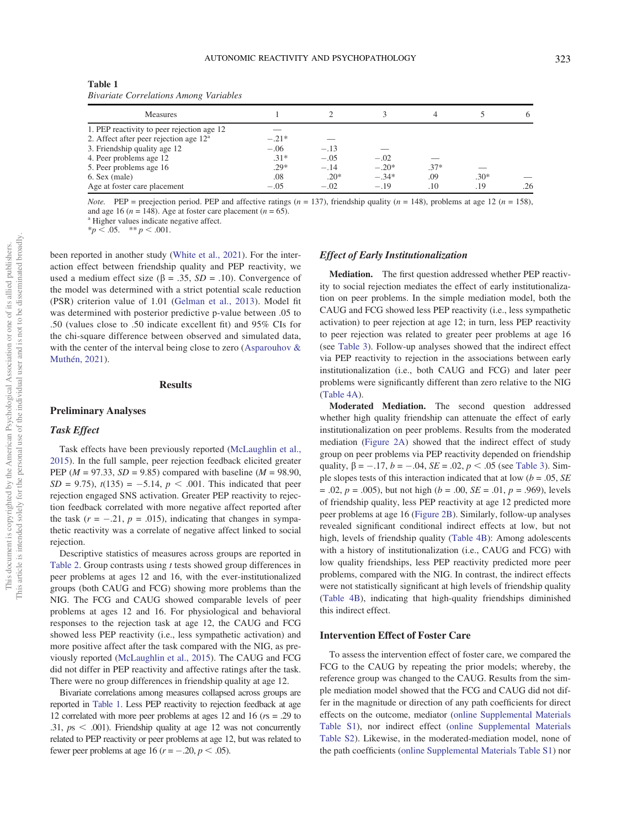<span id="page-5-0"></span>

| Table 1                                       |  |
|-----------------------------------------------|--|
| <b>Bivariate Correlations Among Variables</b> |  |

| <b>Measures</b>                            |         |        |         |        |        | O.  |
|--------------------------------------------|---------|--------|---------|--------|--------|-----|
| 1. PEP reactivity to peer rejection age 12 |         |        |         |        |        |     |
| 2. Affect after peer rejection age $12a$   | $-.21*$ |        |         |        |        |     |
| 3. Friendship quality age 12               | $-.06$  | $-.13$ |         |        |        |     |
| 4. Peer problems age 12                    | $.31*$  | $-.05$ | $-.02$  |        |        |     |
| 5. Peer problems age 16                    | $.29*$  | $-.14$ | $-.20*$ | $.37*$ |        |     |
| 6. Sex (male)                              | .08     | $.20*$ | $-.34*$ | .09    | $.30*$ |     |
| Age at foster care placement               | $-.05$  | $-.02$ | $-.19$  | .10    | .19    | .26 |

*Note.* PEP = preejection period. PEP and affective ratings  $(n = 137)$ , friendship quality  $(n = 148)$ , problems at age 12  $(n = 158)$ , and age 16 ( $n = 148$ ). Age at foster care placement ( $n = 65$ ). <br><sup>a</sup> Higher values indicate negative affect.

 $*_{p} < .05.$  \*\*  $p < .001.$ 

been reported in another study [\(White et al., 2021](#page-12-2)). For the interaction effect between friendship quality and PEP reactivity, we used a medium effect size ( $\beta$  = .35, *SD* = .10). Convergence of the model was determined with a strict potential scale reduction (PSR) criterion value of 1.01 ([Gelman et al., 2013\)](#page-9-23). Model fit was determined with posterior predictive p-value between .05 to .50 (values close to .50 indicate excellent fit) and 95% CIs for the chi-square difference between observed and simulated data, with the center of the interval being close to zero ([Asparouhov &](#page-9-24) [Muthén, 2021\)](#page-9-24).

## **Results**

#### Preliminary Analyses

## Task Effect

Task effects have been previously reported [\(McLaughlin et al.,](#page-11-3) [2015](#page-11-3)). In the full sample, peer rejection feedback elicited greater PEP ( $M = 97.33$ ,  $SD = 9.85$ ) compared with baseline ( $M = 98.90$ ,  $SD = 9.75$ ,  $t(135) = -5.14$ ,  $p < .001$ . This indicated that peer rejection engaged SNS activation. Greater PEP reactivity to rejection feedback correlated with more negative affect reported after the task  $(r = -.21, p = .015)$ , indicating that changes in sympathetic reactivity was a correlate of negative affect linked to social rejection.

Descriptive statistics of measures across groups are reported in [Table 2.](#page-6-0) Group contrasts using t tests showed group differences in peer problems at ages 12 and 16, with the ever-institutionalized groups (both CAUG and FCG) showing more problems than the NIG. The FCG and CAUG showed comparable levels of peer problems at ages 12 and 16. For physiological and behavioral responses to the rejection task at age 12, the CAUG and FCG showed less PEP reactivity (i.e., less sympathetic activation) and more positive affect after the task compared with the NIG, as previously reported [\(McLaughlin et al., 2015](#page-11-3)). The CAUG and FCG did not differ in PEP reactivity and affective ratings after the task. There were no group differences in friendship quality at age 12.

Bivariate correlations among measures collapsed across groups are reported in [Table 1](#page-5-0). Less PEP reactivity to rejection feedback at age 12 correlated with more peer problems at ages 12 and 16 ( $rs = .29$  to .31,  $ps < .001$ ). Friendship quality at age 12 was not concurrently related to PEP reactivity or peer problems at age 12, but was related to fewer peer problems at age 16 ( $r = -.20$ ,  $p < .05$ ).

#### Effect of Early Institutionalization

Mediation. The first question addressed whether PEP reactivity to social rejection mediates the effect of early institutionalization on peer problems. In the simple mediation model, both the CAUG and FCG showed less PEP reactivity (i.e., less sympathetic activation) to peer rejection at age 12; in turn, less PEP reactivity to peer rejection was related to greater peer problems at age 16 (see [Table 3\)](#page-7-0). Follow-up analyses showed that the indirect effect via PEP reactivity to rejection in the associations between early institutionalization (i.e., both CAUG and FCG) and later peer problems were significantly different than zero relative to the NIG ([Table 4A\)](#page-8-0).

Moderated Mediation. The second question addressed whether high quality friendship can attenuate the effect of early institutionalization on peer problems. Results from the moderated mediation ([Figure 2A\)](#page-8-1) showed that the indirect effect of study group on peer problems via PEP reactivity depended on friendship quality,  $\beta = -.17$ ,  $b = -.04$ ,  $SE = .02$ ,  $p < .05$  (see [Table 3\)](#page-7-0). Simple slopes tests of this interaction indicated that at low ( $b = .05$ , SE  $= .02, p = .005$ , but not high ( $b = .00, SE = .01, p = .969$ ), levels of friendship quality, less PEP reactivity at age 12 predicted more peer problems at age 16 ([Figure 2B\)](#page-8-1). Similarly, follow-up analyses revealed significant conditional indirect effects at low, but not high, levels of friendship quality [\(Table 4B](#page-8-0)): Among adolescents with a history of institutionalization (i.e., CAUG and FCG) with low quality friendships, less PEP reactivity predicted more peer problems, compared with the NIG. In contrast, the indirect effects were not statistically significant at high levels of friendship quality ([Table 4B\)](#page-8-0), indicating that high-quality friendships diminished this indirect effect.

## Intervention Effect of Foster Care

To assess the intervention effect of foster care, we compared the FCG to the CAUG by repeating the prior models; whereby, the reference group was changed to the CAUG. Results from the simple mediation model showed that the FCG and CAUG did not differ in the magnitude or direction of any path coefficients for direct effects on the outcome, mediator ([online Supplemental Materials](https://doi.org/10.1037/emo0001016.supp) [Table S1](https://doi.org/10.1037/emo0001016.supp)), nor indirect effect [\(online Supplemental Materials](https://doi.org/10.1037/emo0001016.supp) [Table S2](https://doi.org/10.1037/emo0001016.supp)). Likewise, in the moderated-mediation model, none of the path coefficients ([online Supplemental Materials Table S1\)](https://doi.org/10.1037/emo0001016.supp) nor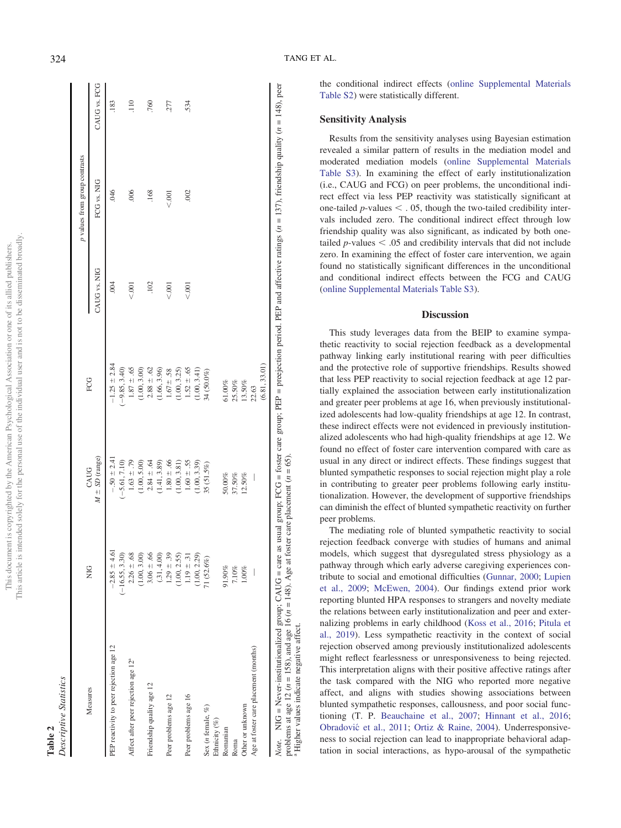| j                    |               |
|----------------------|---------------|
| i<br>j               | ł<br>ċ        |
|                      |               |
| Ì                    |               |
| i                    |               |
|                      |               |
| ì                    |               |
|                      |               |
| ł                    |               |
|                      |               |
|                      |               |
|                      |               |
| i                    |               |
|                      |               |
|                      |               |
| $\ddot{\zeta}$<br>l  |               |
|                      |               |
|                      |               |
|                      |               |
| ì                    |               |
|                      |               |
|                      | į<br>١        |
|                      |               |
|                      |               |
|                      |               |
| ç<br>į               |               |
| I<br>)               |               |
|                      |               |
| I                    |               |
|                      |               |
| ļ                    | $\frac{1}{2}$ |
|                      |               |
|                      | J             |
| ç                    |               |
| ï                    |               |
|                      |               |
| $\ddot{\phantom{a}}$ | Š             |
| ï                    | i             |
|                      | ť             |
|                      |               |
|                      | ć             |
|                      |               |
|                      | ì<br>ł<br>j   |
| 3                    | į             |
| ł<br>j<br>ĭ          |               |
| ï<br>è               | ł             |
|                      |               |
| ì<br>j               |               |
| j                    |               |
|                      |               |
|                      |               |
| ¢                    |               |
|                      |               |
|                      |               |
|                      |               |
|                      |               |
|                      | j             |
| $\overline{1}$       |               |
| ł                    | his           |
|                      | i<br>۰        |
|                      |               |

**Table 2**<br>Descriptive Statistics

<span id="page-6-0"></span>

|                                                 | <b>DI</b> Z      | CAUG                                                                                       | FCG              |              | p values from group contrasts |              |
|-------------------------------------------------|------------------|--------------------------------------------------------------------------------------------|------------------|--------------|-------------------------------|--------------|
| Measures                                        |                  | $M \pm SD$ (range)                                                                         |                  | CAUG vs. NIG | FCG vs. NIG                   | CAUG vs. FCG |
| PEP reactivity to peer rejection age 12         | $-2.85 \pm 4.61$ | $-.50 \pm 2.41$                                                                            | $-1.25 \pm 2.84$ | .004         | .046                          | .183         |
|                                                 | $(-16.55, 3.30)$ | $(-5.61, 7.10)$                                                                            | $(-9.85, 3.40)$  |              |                               |              |
| Affect after peer rejection age 12 <sup>ª</sup> | $2.26 \pm .68$   | $1.63 \pm .79$                                                                             | $1.87 \pm .65$   | < 0.001      | .006                          | .110         |
|                                                 | (1.00, 3.00)     | (1.00, 5.00)                                                                               | (1.00, 3.00)     |              |                               |              |
| Friendship quality age 12                       | $3.06 \pm .66$   | $2.84 \pm .64$                                                                             | $2.88 \pm .62$   | .102         | .168                          | 760          |
|                                                 | (.31, 4.00)      | (1.41, 3.89)                                                                               | (1.66, 3.96)     |              |                               |              |
| Peer problems age 12                            | $1.29 \pm .39$   | $1.80 \pm .66$                                                                             | $1.67 \pm .58$   | 001          | 5001                          | 277          |
|                                                 | (1.00, 2.55)     | (1.00, 3.81)                                                                               | (1.00, 3.25)     |              |                               |              |
| Peer problems age 16                            | $1.19 \pm .31$   | $1.60 \pm .55$                                                                             | $1.52 \pm .65$   | 001          | .002                          | 534          |
|                                                 | 1.00, 2.29       | (1.00, 3.39)                                                                               | (1.00, 3.41)     |              |                               |              |
| Sex (n female, %)                               | 71 (52.6%)       | $35(51.5\%)$                                                                               | 34 (50.0%)       |              |                               |              |
| Ethnicity (%)                                   |                  |                                                                                            |                  |              |                               |              |
| Romanian                                        | 91.90%           | $50.00\%$                                                                                  | 61.00%           |              |                               |              |
| Roma                                            | 7.10%            | 37.50%                                                                                     | 25.50%           |              |                               |              |
| Other or unknown                                | $1.00\%$         | 12.50%                                                                                     | 13.50%           |              |                               |              |
| Age at foster care placement (months)           |                  | $\begin{array}{c} \begin{array}{c} \begin{array}{c} \end{array}\\ \end{array} \end{array}$ | 22.63            |              |                               |              |
|                                                 |                  |                                                                                            | (6.81, 33.01)    |              |                               |              |

problems at age 12 ( $n = 158$ ), and age 16 ( $n = 148$ ). Age at foster care placement ( $n = 65$ ). problems at age 12 ( $n = 158$ ), and age 16 ( $n = 148$ ). Age at foster care placement ( $n = 65$ ). Higher values indicate negative affect.

Higher values indicate negative affect.

the conditional indirect effects ([online Supplemental Materials](https://doi.org/10.1037/emo0001016.supp) [Table S2](https://doi.org/10.1037/emo0001016.supp)) were statistically different.

## Sensitivity Analysis

Results from the sensitivity analyses using Bayesian estimation revealed a similar pattern of results in the mediation model and moderated mediation models ([online Supplemental Materials](https://doi.org/10.1037/emo0001016.supp) [Table S3](https://doi.org/10.1037/emo0001016.supp)). In examining the effect of early institutionalization (i.e., CAUG and FCG) on peer problems, the unconditional indirect effect via less PEP reactivity was statistically significant at one-tailed  $p$ -values  $\lt$ . 05, though the two-tailed credibility intervals included zero. The conditional indirect effect through low friendship quality was also significant, as indicated by both onetailed  $p$ -values  $\lt$  .05 and credibility intervals that did not include zero. In examining the effect of foster care intervention, we again found no statistically significant differences in the unconditional and conditional indirect effects between the FCG and CAUG ([online Supplemental Materials Table S3](https://doi.org/10.1037/emo0001016.supp)).

## **Discussion**

This study leverages data from the BEIP to examine sympathetic reactivity to social rejection feedback as a developmental pathway linking early institutional rearing with peer difficulties and the protective role of supportive friendships. Results showed that less PEP reactivity to social rejection feedback at age 12 partially explained the association between early institutionalization and greater peer problems at age 16, when previously institutionalized adolescents had low-quality friendships at age 12. In contrast, these indirect effects were not evidenced in previously institutionalized adolescents who had high-quality friendships at age 12. We found no effect of foster care intervention compared with care as usual in any direct or indirect effects. These findings suggest that blunted sympathetic responses to social rejection might play a role in contributing to greater peer problems following early institutionalization. However, the development of supportive friendships can diminish the effect of blunted sympathetic reactivity on further peer problems.

The mediating role of blunted sympathetic reactivity to social rejection feedback converge with studies of humans and animal models, which suggest that dysregulated stress physiology as a pathway through which early adverse caregiving experiences contribute to social and emotional difficulties [\(Gunnar, 2000](#page-10-19); [Lupien](#page-10-3) [et al., 2009](#page-10-3) ; [McEwen, 2004](#page-11-21)). Our findings extend prior work reporting blunted HPA responses to strangers and novelty mediate the relations between early institutionalization and peer and externalizing problems in early childhood [\(Koss et al., 2016;](#page-10-4) [Pitula et](#page-11-4) [al., 2019](#page-11-4)). Less sympathetic reactivity in the context of social rejection observed among previously institutionalized adolescents might re flect fearlessness or unresponsiveness to being rejected. This interpretation aligns with their positive affective ratings after the task compared with the NIG who reported more negative affect, and aligns with studies showing associations between blunted sympathetic responses, callousness, and poor social functioning (T. P. [Beauchaine et al., 2007;](#page-9-6) [Hinnant et al., 2016](#page-10-7); Obradović et al., 2011; [Ortiz & Raine, 2004](#page-11-6)). Underresponsiveness to social rejection can lead to inappropriate behavioral adaptation in social interactions, as hypo-arousal of the sympathetic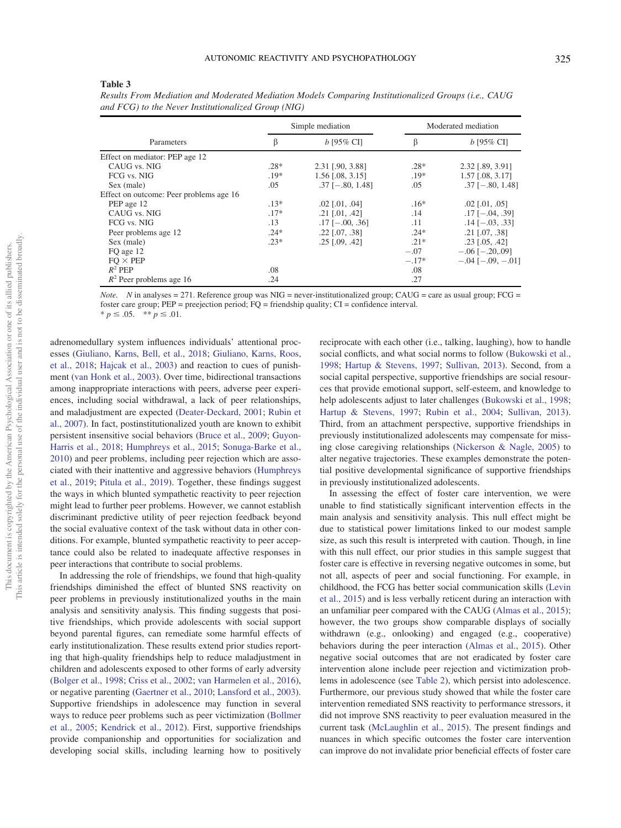#### <span id="page-7-0"></span>Table 3

| Simple mediation                        |        | Moderated mediation     |         |                            |
|-----------------------------------------|--------|-------------------------|---------|----------------------------|
| Parameters                              | ß      | $b$ [95% CI]            | β       | $b$ [95% CI]               |
| Effect on mediator: PEP age 12          |        |                         |         |                            |
| CAUG vs. NIG                            | $.28*$ | 2.31 [.90, 3.88]        | $.28*$  | 2.32 [.89, 3.91]           |
| FCG vs. NIG                             | $.19*$ | 1.56 [.08, 3.15]        | $.19*$  | $1.57$ [.08, 3.17]         |
| Sex (male)                              | .05    | $.37$ [ $-.80, 1.48$ ]  | .05     | $.37$ [ $-.80, 1.48$ ]     |
| Effect on outcome: Peer problems age 16 |        |                         |         |                            |
| PEP age 12                              | $.13*$ | $.02$ [ $.01$ , $.04$ ] | $.16*$  | $.02$ [.01, .05]           |
| CAUG vs. NIG                            | $.17*$ | $.21$ [.01, .42]        | .14     | $.17$ [ $-.04, .39$ ]      |
| FCG vs. NIG                             | .13    | $.17$ [ $-.00, .36$ ]   | .11     | $.14$ [ $-.03, .33$ ]      |
| Peer problems age 12                    | $.24*$ | $.22$ [ $.07, .38$ ]    | $.24*$  | $.21$ [.07, .38]           |
| Sex (male)                              | $.23*$ | $.25$ [.09, .42]        | $.21*$  | $.23$ [ $.05, .42$ ]       |
| FO age 12                               |        |                         | $-.07$  | $-.06$ [ $-.20, .09$ ]     |
| $FO \times PEP$                         |        |                         | $-.17*$ | $-.04$ [ $-.09$ , $-.01$ ] |
| $R^2$ PEP                               | .08    |                         | .08     |                            |
| $R^2$ Peer problems age 16              | .24    |                         | .27     |                            |

Results From Mediation and Moderated Mediation Models Comparing Institutionalized Groups (i.e., CAUG and FCG) to the Never Institutionalized Group (NIG)

*Note.* N in analyses = 271. Reference group was NIG = never-institutionalized group; CAUG = care as usual group; FCG = foster care group; PEP = preejection period; FQ = friendship quality; CI = confidence interval.

\*  $p \leq .05.$  \*\*  $p \leq .01.$ 

adrenomedullary system influences individuals' attentional processes ([Giuliano, Karns, Bell, et al., 2018](#page-10-20); [Giuliano, Karns, Roos,](#page-10-21) [et al., 2018;](#page-10-21) [Hajcak et al., 2003](#page-10-22)) and reaction to cues of punishment [\(van Honk et al., 2003](#page-11-22)). Over time, bidirectional transactions among inappropriate interactions with peers, adverse peer experiences, including social withdrawal, a lack of peer relationships, and maladjustment are expected [\(Deater-Deckard, 2001](#page-9-9); [Rubin et](#page-11-23) [al., 2007](#page-11-23)). In fact, postinstitutionalized youth are known to exhibit persistent insensitive social behaviors [\(Bruce et al., 2009](#page-9-10); [Guyon-](#page-10-10)[Harris et al., 2018](#page-10-10); [Humphreys et al., 2015](#page-10-1); [Sonuga-Barke et al.,](#page-11-13) [2010](#page-11-13)) and peer problems, including peer rejection which are associated with their inattentive and aggressive behaviors [\(Humphreys](#page-10-8) [et al., 2019;](#page-10-8) [Pitula et al., 2019](#page-11-4)). Together, these findings suggest the ways in which blunted sympathetic reactivity to peer rejection might lead to further peer problems. However, we cannot establish discriminant predictive utility of peer rejection feedback beyond the social evaluative context of the task without data in other conditions. For example, blunted sympathetic reactivity to peer acceptance could also be related to inadequate affective responses in peer interactions that contribute to social problems.

In addressing the role of friendships, we found that high-quality friendships diminished the effect of blunted SNS reactivity on peer problems in previously institutionalized youths in the main analysis and sensitivity analysis. This finding suggests that positive friendships, which provide adolescents with social support beyond parental figures, can remediate some harmful effects of early institutionalization. These results extend prior studies reporting that high-quality friendships help to reduce maladjustment in children and adolescents exposed to other forms of early adversity [\(Bolger et al., 1998](#page-9-16); [Criss et al., 2002](#page-9-17); [van Harmelen et al., 2016\)](#page-11-24), or negative parenting ([Gaertner et al., 2010](#page-9-15); [Lansford et al., 2003\)](#page-10-11). Supportive friendships in adolescence may function in several ways to reduce peer problems such as peer victimization ([Bollmer](#page-9-25) [et al., 2005](#page-9-25); [Kendrick et al., 2012\)](#page-10-23). First, supportive friendships provide companionship and opportunities for socialization and developing social skills, including learning how to positively

reciprocate with each other (i.e., talking, laughing), how to handle social conflicts, and what social norms to follow [\(Bukowski et al.,](#page-9-26) [1998;](#page-9-26) [Hartup & Stevens, 1997;](#page-10-24) [Sullivan, 2013](#page-11-25)). Second, from a social capital perspective, supportive friendships are social resources that provide emotional support, self-esteem, and knowledge to help adolescents adjust to later challenges ([Bukowski et al., 1998](#page-9-26); [Hartup & Stevens, 1997](#page-10-24); [Rubin et al., 2004;](#page-11-26) [Sullivan, 2013\)](#page-11-25). Third, from an attachment perspective, supportive friendships in previously institutionalized adolescents may compensate for missing close caregiving relationships [\(Nickerson & Nagle, 2005\)](#page-11-27) to alter negative trajectories. These examples demonstrate the potential positive developmental significance of supportive friendships in previously institutionalized adolescents.

In assessing the effect of foster care intervention, we were unable to find statistically significant intervention effects in the main analysis and sensitivity analysis. This null effect might be due to statistical power limitations linked to our modest sample size, as such this result is interpreted with caution. Though, in line with this null effect, our prior studies in this sample suggest that foster care is effective in reversing negative outcomes in some, but not all, aspects of peer and social functioning. For example, in childhood, the FCG has better social communication skills [\(Levin](#page-10-14) [et al., 2015](#page-10-14)) and is less verbally reticent during an interaction with an unfamiliar peer compared with the CAUG ([Almas et al., 2015\)](#page-9-0); however, the two groups show comparable displays of socially withdrawn (e.g., onlooking) and engaged (e.g., cooperative) behaviors during the peer interaction [\(Almas et al., 2015](#page-9-0)). Other negative social outcomes that are not eradicated by foster care intervention alone include peer rejection and victimization problems in adolescence (see [Table 2\)](#page-6-0), which persist into adolescence. Furthermore, our previous study showed that while the foster care intervention remediated SNS reactivity to performance stressors, it did not improve SNS reactivity to peer evaluation measured in the current task ([McLaughlin et al., 2015](#page-11-3)). The present findings and nuances in which specific outcomes the foster care intervention can improve do not invalidate prior beneficial effects of foster care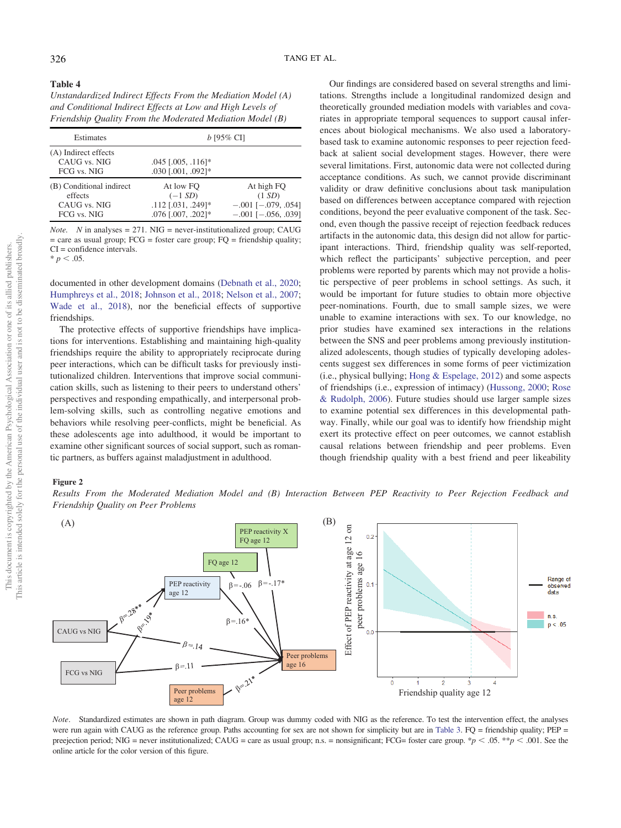<span id="page-8-1"></span><span id="page-8-0"></span>Table 4

| Unstandardized Indirect Effects From the Mediation Model (A) |
|--------------------------------------------------------------|
| and Conditional Indirect Effects at Low and High Levels of   |
| Friendship Quality From the Moderated Mediation Model (B)    |

| Estimates                                                          | $b$ [95% CI]                                                       |                                                                                |  |
|--------------------------------------------------------------------|--------------------------------------------------------------------|--------------------------------------------------------------------------------|--|
| (A) Indirect effects<br>CAUG vs. NIG<br>FCG vs. NIG                | $.045$ $[.005, .116]$ *<br>$.030$ $[.001, .092]$ *                 |                                                                                |  |
| (B) Conditional indirect<br>effects<br>CAUG vs. NIG<br>FCG vs. NIG | At low FO<br>$(-1 SD)$<br>.112 [.031, .249]*<br>.076 [.007, .202]* | At high FO<br>(1 SD)<br>$-.001$ [ $-.079, .054$ ]<br>$-.001$ [ $-.056, .039$ ] |  |

*Note.* N in analyses = 271. NIG = never-institutionalized group; CAUG  $=$  care as usual group; FCG = foster care group; FQ = friendship quality;  $CI =$  confidence intervals.  $* p < .05.$ 

documented in other development domains [\(Debnath et al., 2020;](#page-9-27) [Humphreys et al., 2018](#page-10-25); [Johnson et al., 2018](#page-10-26); [Nelson et al., 2007;](#page-11-28) [Wade et al., 2018](#page-11-29)), nor the beneficial effects of supportive friendships.

The protective effects of supportive friendships have implications for interventions. Establishing and maintaining high-quality friendships require the ability to appropriately reciprocate during peer interactions, which can be difficult tasks for previously institutionalized children. Interventions that improve social communication skills, such as listening to their peers to understand others' perspectives and responding empathically, and interpersonal problem-solving skills, such as controlling negative emotions and behaviors while resolving peer-conflicts, might be beneficial. As these adolescents age into adulthood, it would be important to examine other significant sources of social support, such as romantic partners, as buffers against maladjustment in adulthood.

Our findings are considered based on several strengths and limitations. Strengths include a longitudinal randomized design and theoretically grounded mediation models with variables and covariates in appropriate temporal sequences to support causal inferences about biological mechanisms. We also used a laboratorybased task to examine autonomic responses to peer rejection feedback at salient social development stages. However, there were several limitations. First, autonomic data were not collected during acceptance conditions. As such, we cannot provide discriminant validity or draw definitive conclusions about task manipulation based on differences between acceptance compared with rejection conditions, beyond the peer evaluative component of the task. Second, even though the passive receipt of rejection feedback reduces artifacts in the autonomic data, this design did not allow for participant interactions. Third, friendship quality was self-reported, which reflect the participants' subjective perception, and peer problems were reported by parents which may not provide a holistic perspective of peer problems in school settings. As such, it would be important for future studies to obtain more objective peer-nominations. Fourth, due to small sample sizes, we were unable to examine interactions with sex. To our knowledge, no prior studies have examined sex interactions in the relations between the SNS and peer problems among previously institutionalized adolescents, though studies of typically developing adolescents suggest sex differences in some forms of peer victimization (i.e., physical bullying; [Hong & Espelage, 2012](#page-10-27)) and some aspects of friendships (i.e., expression of intimacy) ([Hussong, 2000;](#page-10-28) [Rose](#page-11-30) [& Rudolph, 2006\)](#page-11-30). Future studies should use larger sample sizes to examine potential sex differences in this developmental pathway. Finally, while our goal was to identify how friendship might exert its protective effect on peer outcomes, we cannot establish causal relations between friendship and peer problems. Even though friendship quality with a best friend and peer likeability

#### Figure 2

Results From the Moderated Mediation Model and (B) Interaction Between PEP Reactivity to Peer Rejection Feedback and Friendship Quality on Peer Problems



Note. Standardized estimates are shown in path diagram. Group was dummy coded with NIG as the reference. To test the intervention effect, the analyses were run again with CAUG as the reference group. Paths accounting for sex are not shown for simplicity but are in [Table 3.](#page-7-0) FQ = friendship quality; PEP = preejection period; NIG = never institutionalized; CAUG = care as usual group; n.s. = nonsignificant; FCG= foster care group. \*p < .05. \*\*p < .001. See the online article for the color version of this figure.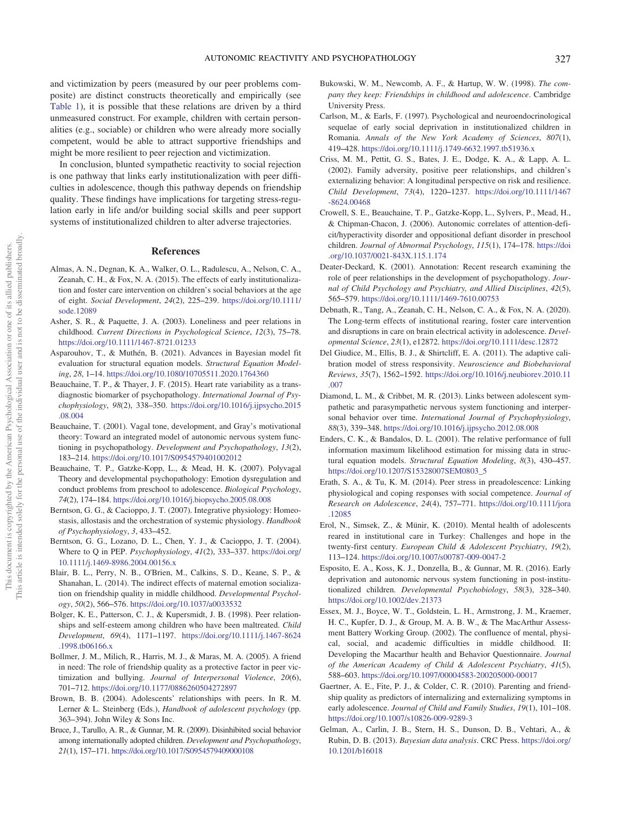and victimization by peers (measured by our peer problems composite) are distinct constructs theoretically and empirically (see [Table 1\)](#page-5-0), it is possible that these relations are driven by a third unmeasured construct. For example, children with certain personalities (e.g., sociable) or children who were already more socially competent, would be able to attract supportive friendships and might be more resilient to peer rejection and victimization.

In conclusion, blunted sympathetic reactivity to social rejection is one pathway that links early institutionalization with peer difficulties in adolescence, though this pathway depends on friendship quality. These findings have implications for targeting stress-regulation early in life and/or building social skills and peer support systems of institutionalized children to alter adverse trajectories.

## References

- <span id="page-9-0"></span>Almas, A. N., Degnan, K. A., Walker, O. L., Radulescu, A., Nelson, C. A., Zeanah, C. H., & Fox, N. A. (2015). The effects of early institutionalization and foster care intervention on children's social behaviors at the age of eight. Social Development, 24(2), 225–239. [https://doi.org/10.1111/](https://doi.org/10.1111/sode.12089) [sode.12089](https://doi.org/10.1111/sode.12089)
- <span id="page-9-14"></span>Asher, S. R., & Paquette, J. A. (2003). Loneliness and peer relations in childhood. Current Directions in Psychological Science, 12(3), 75–78. <https://doi.org/10.1111/1467-8721.01233>
- <span id="page-9-24"></span>Asparouhov, T., & Muthén, B. (2021). Advances in Bayesian model fit evaluation for structural equation models. Structural Equation Modeling, 28, 1–14. <https://doi.org/10.1080/10705511.2020.1764360>
- <span id="page-9-2"></span>Beauchaine, T. P., & Thayer, J. F. (2015). Heart rate variability as a transdiagnostic biomarker of psychopathology. International Journal of Psychophysiology, 98(2), 338–350. [https://doi.org/10.1016/j.ijpsycho.2015](https://doi.org/10.1016/j.ijpsycho.2015.08.004) [.08.004](https://doi.org/10.1016/j.ijpsycho.2015.08.004)
- <span id="page-9-3"></span>Beauchaine, T. (2001). Vagal tone, development, and Gray's motivational theory: Toward an integrated model of autonomic nervous system functioning in psychopathology. Development and Psychopathology, 13(2), 183–214. <https://doi.org/10.1017/S0954579401002012>
- <span id="page-9-6"></span>Beauchaine, T. P., Gatzke-Kopp, L., & Mead, H. K. (2007). Polyvagal Theory and developmental psychopathology: Emotion dysregulation and conduct problems from preschool to adolescence. Biological Psychology, 74(2), 174–184. <https://doi.org/10.1016/j.biopsycho.2005.08.008>
- <span id="page-9-4"></span>Berntson, G. G., & Cacioppo, J. T. (2007). Integrative physiology: Homeostasis, allostasis and the orchestration of systemic physiology. Handbook of Psychophysiology, 3, 433–452.
- <span id="page-9-19"></span>Berntson, G. G., Lozano, D. L., Chen, Y. J., & Cacioppo, J. T. (2004). Where to Q in PEP. Psychophysiology, 41(2), 333–337. [https://doi.org/](https://doi.org/10.1111/j.1469-8986.2004.00156.x) [10.1111/j.1469-8986.2004.00156.x](https://doi.org/10.1111/j.1469-8986.2004.00156.x)
- <span id="page-9-20"></span>Blair, B. L., Perry, N. B., O'Brien, M., Calkins, S. D., Keane, S. P., & Shanahan, L. (2014). The indirect effects of maternal emotion socialization on friendship quality in middle childhood. Developmental Psychology, 50(2), 566–576. <https://doi.org/10.1037/a0033532>
- <span id="page-9-16"></span>Bolger, K. E., Patterson, C. J., & Kupersmidt, J. B. (1998). Peer relationships and self-esteem among children who have been maltreated. Child Development, 69(4), 1171–1197. [https://doi.org/10.1111/j.1467-8624](https://doi.org/10.1111/j.1467-8624.1998.tb06166.x) [.1998.tb06166.x](https://doi.org/10.1111/j.1467-8624.1998.tb06166.x)
- <span id="page-9-25"></span>Bollmer, J. M., Milich, R., Harris, M. J., & Maras, M. A. (2005). A friend in need: The role of friendship quality as a protective factor in peer victimization and bullying. Journal of Interpersonal Violence, 20(6), 701–712. <https://doi.org/10.1177/0886260504272897>
- <span id="page-9-13"></span>Brown, B. B. (2004). Adolescents' relationships with peers. In R. M. Lerner & L. Steinberg (Eds.), Handbook of adolescent psychology (pp. 363–394). John Wiley & Sons Inc.
- <span id="page-9-10"></span>Bruce, J., Tarullo, A. R., & Gunnar, M. R. (2009). Disinhibited social behavior among internationally adopted children. Development and Psychopathology, 21(1), 157–171. <https://doi.org/10.1017/S0954579409000108>
- <span id="page-9-26"></span>Bukowski, W. M., Newcomb, A. F., & Hartup, W. W. (1998). The company they keep: Friendships in childhood and adolescence. Cambridge University Press.
- <span id="page-9-1"></span>Carlson, M., & Earls, F. (1997). Psychological and neuroendocrinological sequelae of early social deprivation in institutionalized children in Romania. Annals of the New York Academy of Sciences, 807(1), 419–428. <https://doi.org/10.1111/j.1749-6632.1997.tb51936.x>
- <span id="page-9-17"></span>Criss, M. M., Pettit, G. S., Bates, J. E., Dodge, K. A., & Lapp, A. L. (2002). Family adversity, positive peer relationships, and children's externalizing behavior: A longitudinal perspective on risk and resilience. Child Development, 73(4), 1220–1237. [https://doi.org/10.1111/1467](https://doi.org/10.1111/1467-8624.00468) [-8624.00468](https://doi.org/10.1111/1467-8624.00468)
- <span id="page-9-5"></span>Crowell, S. E., Beauchaine, T. P., Gatzke-Kopp, L., Sylvers, P., Mead, H., & Chipman-Chacon, J. (2006). Autonomic correlates of attention-deficit/hyperactivity disorder and oppositional defiant disorder in preschool children. Journal of Abnormal Psychology, 115(1), 174–178. [https://doi](https://doi.org/10.1037/0021-843X.115.1.174) [.org/10.1037/0021-843X.115.1.174](https://doi.org/10.1037/0021-843X.115.1.174)
- <span id="page-9-9"></span>Deater-Deckard, K. (2001). Annotation: Recent research examining the role of peer relationships in the development of psychopathology. Journal of Child Psychology and Psychiatry, and Allied Disciplines, 42(5), 565–579. <https://doi.org/10.1111/1469-7610.00753>
- <span id="page-9-27"></span>Debnath, R., Tang, A., Zeanah, C. H., Nelson, C. A., & Fox, N. A. (2020). The Long-term effects of institutional rearing, foster care intervention and disruptions in care on brain electrical activity in adolescence. Developmental Science, 23(1), e12872. <https://doi.org/10.1111/desc.12872>
- <span id="page-9-8"></span>Del Giudice, M., Ellis, B. J., & Shirtcliff, E. A. (2011). The adaptive calibration model of stress responsivity. Neuroscience and Biobehavioral Reviews, 35(7), 1562–1592. [https://doi.org/10.1016/j.neubiorev.2010.11](https://doi.org/10.1016/j.neubiorev.2010.11.007) [.007](https://doi.org/10.1016/j.neubiorev.2010.11.007)
- <span id="page-9-12"></span>Diamond, L. M., & Cribbet, M. R. (2013). Links between adolescent sympathetic and parasympathetic nervous system functioning and interpersonal behavior over time. International Journal of Psychophysiology, 88(3), 339–348. <https://doi.org/10.1016/j.ijpsycho.2012.08.008>
- <span id="page-9-22"></span>Enders, C. K., & Bandalos, D. L. (2001). The relative performance of full information maximum likelihood estimation for missing data in structural equation models. Structural Equation Modeling, 8(3), 430–457. [https://doi.org/10.1207/S15328007SEM0803\\_5](https://doi.org/10.1207/S15328007SEM0803_5)
- <span id="page-9-11"></span>Erath, S. A., & Tu, K. M. (2014). Peer stress in preadolescence: Linking physiological and coping responses with social competence. Journal of Research on Adolescence, 24(4), 757–771. [https://doi.org/10.1111/jora](https://doi.org/10.1111/jora.12085) [.12085](https://doi.org/10.1111/jora.12085)
- <span id="page-9-18"></span>Erol, N., Simsek, Z., & Münir, K. (2010). Mental health of adolescents reared in institutional care in Turkey: Challenges and hope in the twenty-first century. European Child & Adolescent Psychiatry, 19(2), 113–124. <https://doi.org/10.1007/s00787-009-0047-2>
- <span id="page-9-7"></span>Esposito, E. A., Koss, K. J., Donzella, B., & Gunnar, M. R. (2016). Early deprivation and autonomic nervous system functioning in post-institutionalized children. Developmental Psychobiology, 58(3), 328–340. <https://doi.org/10.1002/dev.21373>
- <span id="page-9-21"></span>Essex, M. J., Boyce, W. T., Goldstein, L. H., Armstrong, J. M., Kraemer, H. C., Kupfer, D. J., & Group, M. A. B. W., & The MacArthur Assessment Battery Working Group. (2002). The confluence of mental, physical, social, and academic difficulties in middle childhood. II: Developing the Macarthur health and Behavior Questionnaire. Journal of the American Academy of Child & Adolescent Psychiatry, 41(5), 588–603. <https://doi.org/10.1097/00004583-200205000-00017>
- <span id="page-9-15"></span>Gaertner, A. E., Fite, P. J., & Colder, C. R. (2010). Parenting and friendship quality as predictors of internalizing and externalizing symptoms in early adolescence. Journal of Child and Family Studies, 19(1), 101-108. <https://doi.org/10.1007/s10826-009-9289-3>
- <span id="page-9-23"></span>Gelman, A., Carlin, J. B., Stern, H. S., Dunson, D. B., Vehtari, A., & Rubin, D. B. (2013). Bayesian data analysis. CRC Press. [https://doi.org/](https://doi.org/10.1201/b16018) [10.1201/b16018](https://doi.org/10.1201/b16018)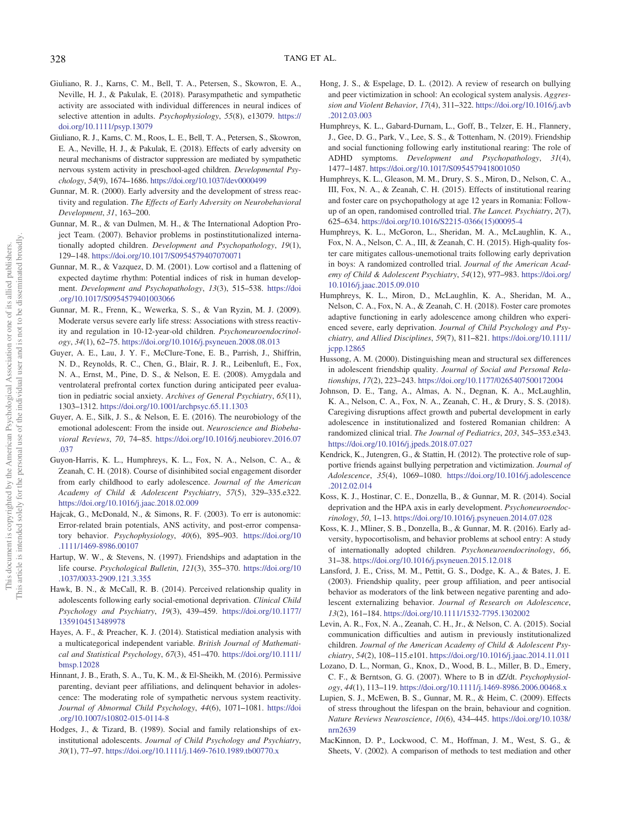- <span id="page-10-20"></span>Giuliano, R. J., Karns, C. M., Bell, T. A., Petersen, S., Skowron, E. A., Neville, H. J., & Pakulak, E. (2018). Parasympathetic and sympathetic activity are associated with individual differences in neural indices of selective attention in adults. Psychophysiology, 55(8), e13079. [https://](https://doi.org/10.1111/psyp.13079) [doi.org/10.1111/psyp.13079](https://doi.org/10.1111/psyp.13079)
- <span id="page-10-21"></span>Giuliano, R. J., Karns, C. M., Roos, L. E., Bell, T. A., Petersen, S., Skowron, E. A., Neville, H. J., & Pakulak, E. (2018). Effects of early adversity on neural mechanisms of distractor suppression are mediated by sympathetic nervous system activity in preschool-aged children. Developmental Psychology, 54(9), 1674–1686. <https://doi.org/10.1037/dev0000499>
- <span id="page-10-19"></span>Gunnar, M. R. (2000). Early adversity and the development of stress reactivity and regulation. The Effects of Early Adversity on Neurobehavioral Development, 31, 163–200.
- <span id="page-10-0"></span>Gunnar, M. R., & van Dulmen, M. H., & The International Adoption Project Team. (2007). Behavior problems in postinstitutionalized internationally adopted children. Development and Psychopathology, 19(1), 129–148. <https://doi.org/10.1017/S0954579407070071>
- <span id="page-10-2"></span>Gunnar, M. R., & Vazquez, D. M. (2001). Low cortisol and a flattening of expected daytime rhythm: Potential indices of risk in human development. Development and Psychopathology, 13(3), 515–538. [https://doi](https://doi.org/10.1017/S0954579401003066) [.org/10.1017/S0954579401003066](https://doi.org/10.1017/S0954579401003066)
- <span id="page-10-5"></span>Gunnar, M. R., Frenn, K., Wewerka, S. S., & Van Ryzin, M. J. (2009). Moderate versus severe early life stress: Associations with stress reactivity and regulation in 10-12-year-old children. Psychoneuroendocrinology, 34(1), 62–75. <https://doi.org/10.1016/j.psyneuen.2008.08.013>
- <span id="page-10-15"></span>Guyer, A. E., Lau, J. Y. F., McClure-Tone, E. B., Parrish, J., Shiffrin, N. D., Reynolds, R. C., Chen, G., Blair, R. J. R., Leibenluft, E., Fox, N. A., Ernst, M., Pine, D. S., & Nelson, E. E. (2008). Amygdala and ventrolateral prefrontal cortex function during anticipated peer evaluation in pediatric social anxiety. Archives of General Psychiatry, 65(11), 1303–1312. <https://doi.org/10.1001/archpsyc.65.11.1303>
- <span id="page-10-9"></span>Guyer, A. E., Silk, J. S., & Nelson, E. E. (2016). The neurobiology of the emotional adolescent: From the inside out. Neuroscience and Biobehavioral Reviews, 70, 74–85. [https://doi.org/10.1016/j.neubiorev.2016.07](https://doi.org/10.1016/j.neubiorev.2016.07.037) [.037](https://doi.org/10.1016/j.neubiorev.2016.07.037)
- <span id="page-10-10"></span>Guyon-Harris, K. L., Humphreys, K. L., Fox, N. A., Nelson, C. A., & Zeanah, C. H. (2018). Course of disinhibited social engagement disorder from early childhood to early adolescence. Journal of the American Academy of Child & Adolescent Psychiatry, 57(5), 329–335.e322. <https://doi.org/10.1016/j.jaac.2018.02.009>
- <span id="page-10-22"></span>Hajcak, G., McDonald, N., & Simons, R. F. (2003). To err is autonomic: Error-related brain potentials, ANS activity, and post-error compensatory behavior. Psychophysiology, 40(6), 895–903. [https://doi.org/10](https://doi.org/10.1111/1469-8986.00107) [.1111/1469-8986.00107](https://doi.org/10.1111/1469-8986.00107)
- <span id="page-10-24"></span>Hartup, W. W., & Stevens, N. (1997). Friendships and adaptation in the life course. Psychological Bulletin, 121(3), 355–370. [https://doi.org/10](https://doi.org/10.1037/0033-2909.121.3.355) [.1037/0033-2909.121.3.355](https://doi.org/10.1037/0033-2909.121.3.355)
- <span id="page-10-13"></span>Hawk, B. N., & McCall, R. B. (2014). Perceived relationship quality in adolescents following early social-emotional deprivation. Clinical Child Psychology and Psychiatry, 19(3), 439–459. [https://doi.org/10.1177/](https://doi.org/10.1177/1359104513489978) [1359104513489978](https://doi.org/10.1177/1359104513489978)
- <span id="page-10-17"></span>Hayes, A. F., & Preacher, K. J. (2014). Statistical mediation analysis with a multicategorical independent variable. British Journal of Mathematical and Statistical Psychology, 67(3), 451–470. [https://doi.org/10.1111/](https://doi.org/10.1111/bmsp.12028) [bmsp.12028](https://doi.org/10.1111/bmsp.12028)
- <span id="page-10-7"></span>Hinnant, J. B., Erath, S. A., Tu, K. M., & El-Sheikh, M. (2016). Permissive parenting, deviant peer affiliations, and delinquent behavior in adolescence: The moderating role of sympathetic nervous system reactivity. Journal of Abnormal Child Psychology, 44(6), 1071–1081. [https://doi](https://doi.org/10.1007/s10802-015-0114-8) [.org/10.1007/s10802-015-0114-8](https://doi.org/10.1007/s10802-015-0114-8)
- <span id="page-10-12"></span>Hodges, J., & Tizard, B. (1989). Social and family relationships of exinstitutional adolescents. Journal of Child Psychology and Psychiatry, 30(1), 77–97. <https://doi.org/10.1111/j.1469-7610.1989.tb00770.x>
- <span id="page-10-27"></span>Hong, J. S., & Espelage, D. L. (2012). A review of research on bullying and peer victimization in school: An ecological system analysis. Aggression and Violent Behavior, 17(4), 311–322. [https://doi.org/10.1016/j.avb](https://doi.org/10.1016/j.avb.2012.03.003) [.2012.03.003](https://doi.org/10.1016/j.avb.2012.03.003)
- <span id="page-10-8"></span>Humphreys, K. L., Gabard-Durnam, L., Goff, B., Telzer, E. H., Flannery, J., Gee, D. G., Park, V., Lee, S. S., & Tottenham, N. (2019). Friendship and social functioning following early institutional rearing: The role of ADHD symptoms. Development and Psychopathology, 31(4), 1477–1487. <https://doi.org/10.1017/S0954579418001050>
- <span id="page-10-1"></span>Humphreys, K. L., Gleason, M. M., Drury, S. S., Miron, D., Nelson, C. A., III, Fox, N. A., & Zeanah, C. H. (2015). Effects of institutional rearing and foster care on psychopathology at age 12 years in Romania: Followup of an open, randomised controlled trial. The Lancet. Psychiatry, 2(7), 625–634. [https://doi.org/10.1016/S2215-0366\(15\)00095-4](https://doi.org/10.1016/S2215-0366(15)00095-4)
- Humphreys, K. L., McGoron, L., Sheridan, M. A., McLaughlin, K. A., Fox, N. A., Nelson, C. A., III, & Zeanah, C. H. (2015). High-quality foster care mitigates callous-unemotional traits following early deprivation in boys: A randomized controlled trial. Journal of the American Academy of Child & Adolescent Psychiatry, 54(12), 977–983. [https://doi.org/](https://doi.org/10.1016/j.jaac.2015.09.010) [10.1016/j.jaac.2015.09.010](https://doi.org/10.1016/j.jaac.2015.09.010)
- <span id="page-10-25"></span>Humphreys, K. L., Miron, D., McLaughlin, K. A., Sheridan, M. A., Nelson, C. A., Fox, N. A., & Zeanah, C. H. (2018). Foster care promotes adaptive functioning in early adolescence among children who experienced severe, early deprivation. Journal of Child Psychology and Psychiatry, and Allied Disciplines, 59(7), 811–821. [https://doi.org/10.1111/](https://doi.org/10.1111/jcpp.12865) [jcpp.12865](https://doi.org/10.1111/jcpp.12865)
- <span id="page-10-28"></span>Hussong, A. M. (2000). Distinguishing mean and structural sex differences in adolescent friendship quality. Journal of Social and Personal Relationships, 17(2), 223–243. <https://doi.org/10.1177/0265407500172004>
- <span id="page-10-26"></span>Johnson, D. E., Tang, A., Almas, A. N., Degnan, K. A., McLaughlin, K. A., Nelson, C. A., Fox, N. A., Zeanah, C. H., & Drury, S. S. (2018). Caregiving disruptions affect growth and pubertal development in early adolescence in institutionalized and fostered Romanian children: A randomized clinical trial. The Journal of Pediatrics, 203, 345–353.e343. <https://doi.org/10.1016/j.jpeds.2018.07.027>
- <span id="page-10-23"></span>Kendrick, K., Jutengren, G., & Stattin, H. (2012). The protective role of supportive friends against bullying perpetration and victimization. Journal of Adolescence, 35(4), 1069–1080. [https://doi.org/10.1016/j.adolescence](https://doi.org/10.1016/j.adolescence.2012.02.014) [.2012.02.014](https://doi.org/10.1016/j.adolescence.2012.02.014)
- <span id="page-10-6"></span>Koss, K. J., Hostinar, C. E., Donzella, B., & Gunnar, M. R. (2014). Social deprivation and the HPA axis in early development. Psychoneuroendocrinology, 50, 1–13. <https://doi.org/10.1016/j.psyneuen.2014.07.028>
- <span id="page-10-4"></span>Koss, K. J., Mliner, S. B., Donzella, B., & Gunnar, M. R. (2016). Early adversity, hypocortisolism, and behavior problems at school entry: A study of internationally adopted children. Psychoneuroendocrinology, 66, 31–38. <https://doi.org/10.1016/j.psyneuen.2015.12.018>
- <span id="page-10-11"></span>Lansford, J. E., Criss, M. M., Pettit, G. S., Dodge, K. A., & Bates, J. E. (2003). Friendship quality, peer group affiliation, and peer antisocial behavior as moderators of the link between negative parenting and adolescent externalizing behavior. Journal of Research on Adolescence, 13(2), 161–184. <https://doi.org/10.1111/1532-7795.1302002>
- <span id="page-10-14"></span>Levin, A. R., Fox, N. A., Zeanah, C. H., Jr., & Nelson, C. A. (2015). Social communication difficulties and autism in previously institutionalized children. Journal of the American Academy of Child & Adolescent Psychiatry, 54(2), 108–115.e101. <https://doi.org/10.1016/j.jaac.2014.11.011>
- <span id="page-10-16"></span>Lozano, D. L., Norman, G., Knox, D., Wood, B. L., Miller, B. D., Emery, C. F., & Berntson, G. G. (2007). Where to B in dZ/dt. Psychophysiology, 44(1), 113–119. <https://doi.org/10.1111/j.1469-8986.2006.00468.x>
- <span id="page-10-3"></span>Lupien, S. J., McEwen, B. S., Gunnar, M. R., & Heim, C. (2009). Effects of stress throughout the lifespan on the brain, behaviour and cognition. Nature Reviews Neuroscience, 10(6), 434–445. [https://doi.org/10.1038/](https://doi.org/10.1038/nrn2639) [nrn2639](https://doi.org/10.1038/nrn2639)
- <span id="page-10-18"></span>MacKinnon, D. P., Lockwood, C. M., Hoffman, J. M., West, S. G., & Sheets, V. (2002). A comparison of methods to test mediation and other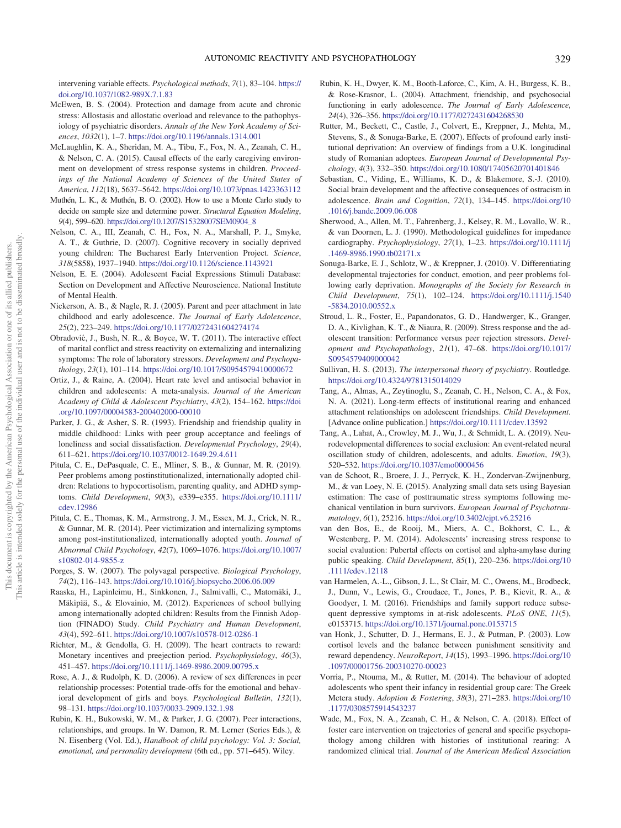intervening variable effects. Psychological methods, 7(1), 83–104. [https://](https://doi.org/10.1037/1082-989X.7.1.83) [doi.org/10.1037/1082-989X.7.1.83](https://doi.org/10.1037/1082-989X.7.1.83)

- <span id="page-11-21"></span>McEwen, B. S. (2004). Protection and damage from acute and chronic stress: Allostasis and allostatic overload and relevance to the pathophysiology of psychiatric disorders. Annals of the New York Academy of Sciences, 1032(1), 1–7. <https://doi.org/10.1196/annals.1314.001>
- <span id="page-11-3"></span>McLaughlin, K. A., Sheridan, M. A., Tibu, F., Fox, N. A., Zeanah, C. H., & Nelson, C. A. (2015). Causal effects of the early caregiving environment on development of stress response systems in children. Proceedings of the National Academy of Sciences of the United States of America, 112(18), 5637–5642. <https://doi.org/10.1073/pnas.1423363112>
- <span id="page-11-17"></span>Muthén, L. K., & Muthén, B. O. (2002). How to use a Monte Carlo study to decide on sample size and determine power. Structural Equation Modeling, 9(4), 599–620. [https://doi.org/10.1207/S15328007SEM0904\\_8](https://doi.org/10.1207/S15328007SEM0904_8)
- <span id="page-11-28"></span>Nelson, C. A., III, Zeanah, C. H., Fox, N. A., Marshall, P. J., Smyke, A. T., & Guthrie, D. (2007). Cognitive recovery in socially deprived young children: The Bucharest Early Intervention Project. Science, 318(5858), 1937–1940. <https://doi.org/10.1126/science.1143921>
- <span id="page-11-18"></span>Nelson, E. E. (2004). Adolescent Facial Expressions Stimuli Database: Section on Development and Affective Neuroscience. National Institute of Mental Health.
- <span id="page-11-27"></span>Nickerson, A. B., & Nagle, R. J. (2005). Parent and peer attachment in late childhood and early adolescence. The Journal of Early Adolescence, 25(2), 223–249. <https://doi.org/10.1177/0272431604274174>
- <span id="page-11-8"></span>Obradovic, J., Bush, N. R., & Boyce, W. T. (2011). The interactive effect of marital conflict and stress reactivity on externalizing and internalizing symptoms: The role of laboratory stressors. Development and Psychopathology, 23(1), 101–114. <https://doi.org/10.1017/S0954579410000672>
- <span id="page-11-6"></span>Ortiz, J., & Raine, A. (2004). Heart rate level and antisocial behavior in children and adolescents: A meta-analysis. Journal of the American Academy of Child & Adolescent Psychiatry, 43(2), 154–162. [https://doi](https://doi.org/10.1097/00004583-200402000-00010) [.org/10.1097/00004583-200402000-00010](https://doi.org/10.1097/00004583-200402000-00010)
- <span id="page-11-14"></span>Parker, J. G., & Asher, S. R. (1993). Friendship and friendship quality in middle childhood: Links with peer group acceptance and feelings of loneliness and social dissatisfaction. Developmental Psychology, 29(4), 611–621. <https://doi.org/10.1037/0012-1649.29.4.611>
- <span id="page-11-4"></span>Pitula, C. E., DePasquale, C. E., Mliner, S. B., & Gunnar, M. R. (2019). Peer problems among postinstitutionalized, internationally adopted children: Relations to hypocortisolism, parenting quality, and ADHD symptoms. Child Development, 90(3), e339–e355. [https://doi.org/10.1111/](https://doi.org/10.1111/cdev.12986) [cdev.12986](https://doi.org/10.1111/cdev.12986)
- <span id="page-11-0"></span>Pitula, C. E., Thomas, K. M., Armstrong, J. M., Essex, M. J., Crick, N. R., & Gunnar, M. R. (2014). Peer victimization and internalizing symptoms among post-institutionalized, internationally adopted youth. Journal of Abnormal Child Psychology, 42(7), 1069–1076. [https://doi.org/10.1007/](https://doi.org/10.1007/s10802-014-9855-z) [s10802-014-9855-z](https://doi.org/10.1007/s10802-014-9855-z)
- <span id="page-11-5"></span>Porges, S. W. (2007). The polyvagal perspective. Biological Psychology, 74(2), 116–143. <https://doi.org/10.1016/j.biopsycho.2006.06.009>
- <span id="page-11-1"></span>Raaska, H., Lapinleimu, H., Sinkkonen, J., Salmivalli, C., Matomäki, J., Mäkipää, S., & Elovainio, M. (2012). Experiences of school bullying among internationally adopted children: Results from the Finnish Adoption (FINADO) Study. Child Psychiatry and Human Development, 43(4), 592–611. <https://doi.org/10.1007/s10578-012-0286-1>
- <span id="page-11-7"></span>Richter, M., & Gendolla, G. H. (2009). The heart contracts to reward: Monetary incentives and preejection period. Psychophysiology, 46(3), 451–457. <https://doi.org/10.1111/j.1469-8986.2009.00795.x>
- <span id="page-11-30"></span>Rose, A. J., & Rudolph, K. D. (2006). A review of sex differences in peer relationship processes: Potential trade-offs for the emotional and behavioral development of girls and boys. Psychological Bulletin, 132(1), 98–131. <https://doi.org/10.1037/0033-2909.132.1.98>
- <span id="page-11-23"></span>Rubin, K. H., Bukowski, W. M., & Parker, J. G. (2007). Peer interactions, relationships, and groups. In W. Damon, R. M. Lerner (Series Eds.), & N. Eisenberg (Vol. Ed.), Handbook of child psychology: Vol. 3: Social, emotional, and personality development (6th ed., pp. 571–645). Wiley.
- <span id="page-11-26"></span>Rubin, K. H., Dwyer, K. M., Booth-Laforce, C., Kim, A. H., Burgess, K. B., & Rose-Krasnor, L. (2004). Attachment, friendship, and psychosocial functioning in early adolescence. The Journal of Early Adolescence, 24(4), 326–356. <https://doi.org/10.1177/0272431604268530>
- <span id="page-11-2"></span>Rutter, M., Beckett, C., Castle, J., Colvert, E., Kreppner, J., Mehta, M., Stevens, S., & Sonuga-Barke, E. (2007). Effects of profound early institutional deprivation: An overview of findings from a U.K. longitudinal study of Romanian adoptees. European Journal of Developmental Psychology, 4(3), 332–350. <https://doi.org/10.1080/17405620701401846>
- <span id="page-11-9"></span>Sebastian, C., Viding, E., Williams, K. D., & Blakemore, S.-J. (2010). Social brain development and the affective consequences of ostracism in adolescence. Brain and Cognition, 72(1), 134–145. [https://doi.org/10](https://doi.org/10.1016/j.bandc.2009.06.008) [.1016/j.bandc.2009.06.008](https://doi.org/10.1016/j.bandc.2009.06.008)
- <span id="page-11-19"></span>Sherwood, A., Allen, M. T., Fahrenberg, J., Kelsey, R. M., Lovallo, W. R., & van Doornen, L. J. (1990). Methodological guidelines for impedance cardiography. Psychophysiology, 27(1), 1–23. [https://doi.org/10.1111/j](https://doi.org/10.1111/j.1469-8986.1990.tb02171.x) [.1469-8986.1990.tb02171.x](https://doi.org/10.1111/j.1469-8986.1990.tb02171.x)
- <span id="page-11-13"></span>Sonuga-Barke, E. J., Schlotz, W., & Kreppner, J. (2010). V. Differentiating developmental trajectories for conduct, emotion, and peer problems following early deprivation. Monographs of the Society for Research in Child Development, 75(1), 102–124. [https://doi.org/10.1111/j.1540](https://doi.org/10.1111/j.1540-5834.2010.00552.x) [-5834.2010.00552.x](https://doi.org/10.1111/j.1540-5834.2010.00552.x)
- <span id="page-11-10"></span>Stroud, L. R., Foster, E., Papandonatos, G. D., Handwerger, K., Granger, D. A., Kivlighan, K. T., & Niaura, R. (2009). Stress response and the adolescent transition: Performance versus peer rejection stressors. Development and Psychopathology, 21(1), 47–68. [https://doi.org/10.1017/](https://doi.org/10.1017/S0954579409000042) [S0954579409000042](https://doi.org/10.1017/S0954579409000042)
- <span id="page-11-25"></span>Sullivan, H. S. (2013). The interpersonal theory of psychiatry. Routledge. <https://doi.org/10.4324/9781315014029>
- <span id="page-11-16"></span>Tang, A., Almas, A., Zeytinoglu, S., Zeanah, C. H., Nelson, C. A., & Fox, N. A. (2021). Long-term effects of institutional rearing and enhanced attachment relationships on adolescent friendships. Child Development. [Advance online publication.] <https://doi.org/10.1111/cdev.13592>
- <span id="page-11-11"></span>Tang, A., Lahat, A., Crowley, M. J., Wu, J., & Schmidt, L. A. (2019). Neurodevelopmental differences to social exclusion: An event-related neural oscillation study of children, adolescents, and adults. Emotion, 19(3), 520–532. <https://doi.org/10.1037/emo0000456>
- <span id="page-11-20"></span>van de Schoot, R., Broere, J. J., Perryck, K. H., Zondervan-Zwijnenburg, M., & van Loey, N. E. (2015). Analyzing small data sets using Bayesian estimation: The case of posttraumatic stress symptoms following mechanical ventilation in burn survivors. European Journal of Psychotraumatology, 6(1), 25216. <https://doi.org/10.3402/ejpt.v6.25216>
- <span id="page-11-12"></span>van den Bos, E., de Rooij, M., Miers, A. C., Bokhorst, C. L., & Westenberg, P. M. (2014). Adolescents' increasing stress response to social evaluation: Pubertal effects on cortisol and alpha-amylase during public speaking. Child Development, 85(1), 220–236. [https://doi.org/10](https://doi.org/10.1111/cdev.12118) [.1111/cdev.12118](https://doi.org/10.1111/cdev.12118)
- <span id="page-11-24"></span>van Harmelen, A.-L., Gibson, J. L., St Clair, M. C., Owens, M., Brodbeck, J., Dunn, V., Lewis, G., Croudace, T., Jones, P. B., Kievit, R. A., & Goodyer, I. M. (2016). Friendships and family support reduce subsequent depressive symptoms in at-risk adolescents. PLoS ONE, 11(5), e0153715. <https://doi.org/10.1371/journal.pone.0153715>
- <span id="page-11-22"></span>van Honk, J., Schutter, D. J., Hermans, E. J., & Putman, P. (2003). Low cortisol levels and the balance between punishment sensitivity and reward dependency. NeuroReport, 14(15), 1993–1996. [https://doi.org/10](https://doi.org/10.1097/00001756-200310270-00023) [.1097/00001756-200310270-00023](https://doi.org/10.1097/00001756-200310270-00023)
- <span id="page-11-15"></span>Vorria, P., Ntouma, M., & Rutter, M. (2014). The behaviour of adopted adolescents who spent their infancy in residential group care: The Greek Metera study. Adoption & Fostering, 38(3), 271–283. [https://doi.org/10](https://doi.org/10.1177/0308575914543237) [.1177/0308575914543237](https://doi.org/10.1177/0308575914543237)
- <span id="page-11-29"></span>Wade, M., Fox, N. A., Zeanah, C. H., & Nelson, C. A. (2018). Effect of foster care intervention on trajectories of general and specific psychopathology among children with histories of institutional rearing: A randomized clinical trial. Journal of the American Medical Association